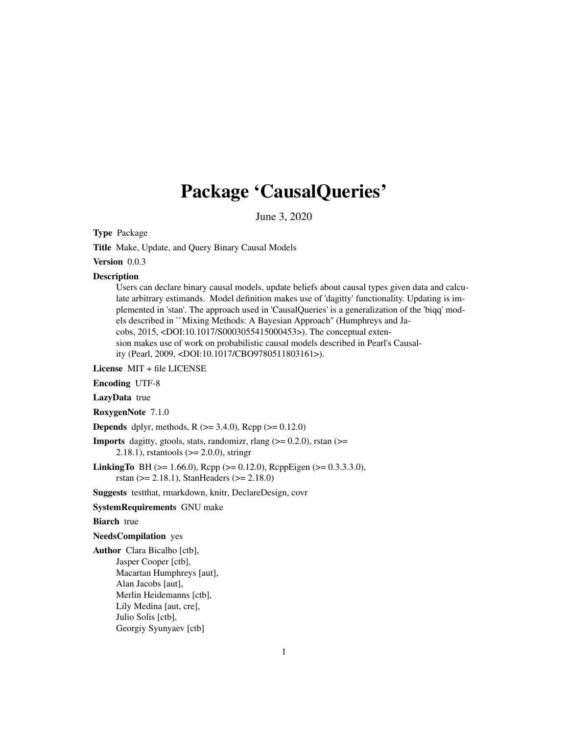# Package 'CausalQueries'

June 3, 2020

<span id="page-0-0"></span>Type Package

Title Make, Update, and Query Binary Causal Models

Version 0.0.3

#### Description

Users can declare binary causal models, update beliefs about causal types given data and calculate arbitrary estimands. Model definition makes use of 'dagitty' functionality. Updating is implemented in 'stan'. The approach used in 'CausalQueries' is a generalization of the 'biqq' models described in ``Mixing Methods: A Bayesian Approach'' (Humphreys and Jacobs, 2015, <DOI:10.1017/S0003055415000453>). The conceptual extension makes use of work on probabilistic causal models described in Pearl's Causality (Pearl, 2009, <DOI:10.1017/CBO9780511803161>).

License MIT + file LICENSE

Encoding UTF-8

LazyData true

RoxygenNote 7.1.0

**Depends** dplyr, methods, R  $(>= 3.4.0)$ , Rcpp  $(>= 0.12.0)$ 

**Imports** dagitty, gtools, stats, randomizr, rlang  $(>= 0.2.0)$ , rstan  $(>=$ 2.18.1), rstantools (>= 2.0.0), stringr

**LinkingTo** BH ( $>= 1.66.0$ ), Rcpp ( $>= 0.12.0$ ), RcppEigen ( $>= 0.3.3.3.0$ ), rstan (>= 2.18.1), StanHeaders (>= 2.18.0)

Suggests testthat, rmarkdown, knitr, DeclareDesign, covr

SystemRequirements GNU make

# **Biarch** true

NeedsCompilation yes

Author Clara Bicalho [ctb], Jasper Cooper [ctb], Macartan Humphreys [aut], Alan Jacobs [aut], Merlin Heidemanns [ctb], Lily Medina [aut, cre], Julio Solis [ctb], Georgiy Syunyaev [ctb]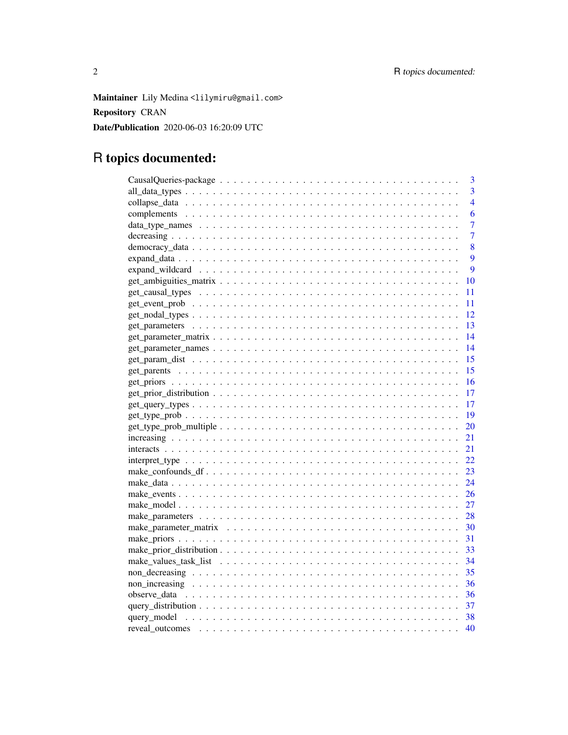Maintainer Lily Medina <lilymiru@gmail.com> Repository CRAN Date/Publication 2020-06-03 16:20:09 UTC

# R topics documented:

|                                                                                                                  | 3  |
|------------------------------------------------------------------------------------------------------------------|----|
|                                                                                                                  | 3  |
|                                                                                                                  | 4  |
|                                                                                                                  | 6  |
|                                                                                                                  | 7  |
|                                                                                                                  | 7  |
|                                                                                                                  | 8  |
|                                                                                                                  | 9  |
|                                                                                                                  | 9  |
|                                                                                                                  | 10 |
|                                                                                                                  | 11 |
|                                                                                                                  | 11 |
|                                                                                                                  | 12 |
|                                                                                                                  | 13 |
|                                                                                                                  | 14 |
|                                                                                                                  | 14 |
|                                                                                                                  | 15 |
|                                                                                                                  | 15 |
|                                                                                                                  | 16 |
|                                                                                                                  | 17 |
| $get\_query\_types \dots \dots \dots \dots \dots \dots \dots \dots \dots \dots \dots \dots \dots \dots \dots$    | 17 |
|                                                                                                                  | 19 |
|                                                                                                                  | 20 |
|                                                                                                                  | 21 |
|                                                                                                                  | 21 |
| $interpret_type \dots \dots \dots \dots \dots \dots \dots \dots \dots \dots \dots \dots \dots \dots \dots \dots$ | 22 |
|                                                                                                                  | 23 |
|                                                                                                                  | 24 |
|                                                                                                                  | 26 |
|                                                                                                                  | 27 |
|                                                                                                                  | 28 |
|                                                                                                                  | 30 |
|                                                                                                                  | 31 |
|                                                                                                                  | 33 |
|                                                                                                                  | 34 |
|                                                                                                                  | 35 |
|                                                                                                                  | 36 |
|                                                                                                                  |    |
|                                                                                                                  | 37 |
|                                                                                                                  | 38 |
|                                                                                                                  | 40 |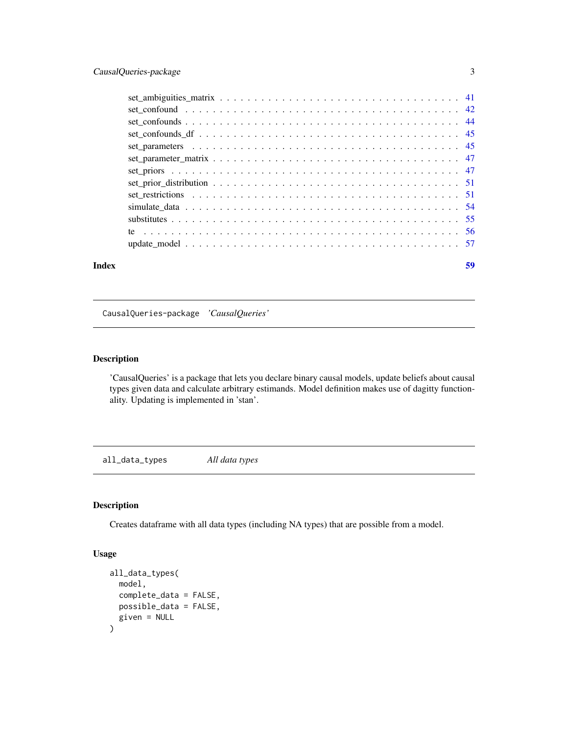<span id="page-2-0"></span>

#### **Index** [59](#page-58-0)

CausalQueries-package *'CausalQueries'*

# Description

'CausalQueries' is a package that lets you declare binary causal models, update beliefs about causal types given data and calculate arbitrary estimands. Model definition makes use of dagitty functionality. Updating is implemented in 'stan'.

all\_data\_types *All data types*

# Description

Creates dataframe with all data types (including NA types) that are possible from a model.

# Usage

```
all_data_types(
  model,
  complete_data = FALSE,
  possible_data = FALSE,
  given = NULL
\mathcal{E}
```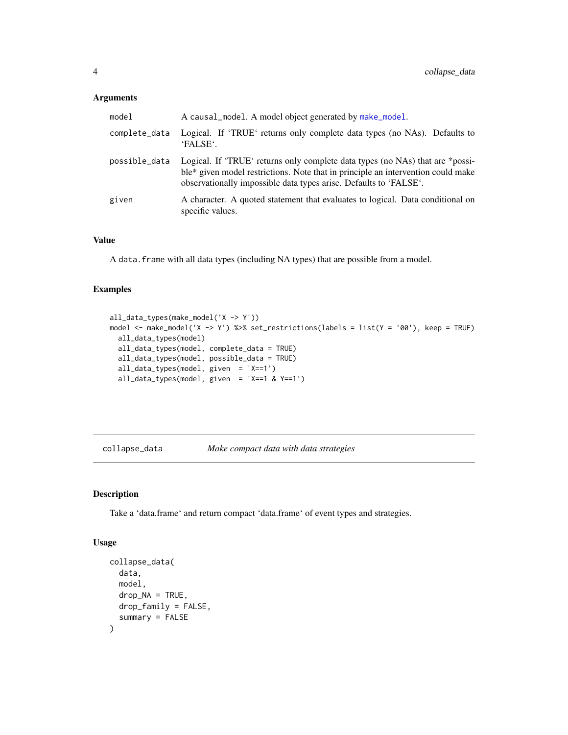# <span id="page-3-0"></span>Arguments

| model         | A causal_model. A model object generated by make_model.                                                                                                                                                                                |
|---------------|----------------------------------------------------------------------------------------------------------------------------------------------------------------------------------------------------------------------------------------|
| complete_data | Logical. If 'TRUE' returns only complete data types (no NAs). Defaults to<br>'FALSE'.                                                                                                                                                  |
| possible_data | Logical. If 'TRUE' returns only complete data types (no NAs) that are *possi-<br>ble* given model restrictions. Note that in principle an intervention could make<br>observationally impossible data types arise. Defaults to 'FALSE'. |
| given         | A character. A quoted statement that evaluates to logical. Data conditional on<br>specific values.                                                                                                                                     |

# Value

A data.frame with all data types (including NA types) that are possible from a model.

#### Examples

```
all_data_types(make_model('X -> Y'))
model <- make_model('X -> Y') %>% set_restrictions(labels = list(Y = '00'), keep = TRUE)
  all_data_types(model)
  all_data_types(model, complete_data = TRUE)
  all_data_types(model, possible_data = TRUE)
  all_data_types(model, given = 'X==1')
  all_data_types(model, given = 'X==1 & Y==1')
```
<span id="page-3-1"></span>collapse\_data *Make compact data with data strategies*

# Description

Take a 'data.frame' and return compact 'data.frame' of event types and strategies.

#### Usage

```
collapse_data(
  data,
  model,
  drop_NA = TRUE,
  drop_family = FALSE,
  summary = FALSE
\mathcal{E}
```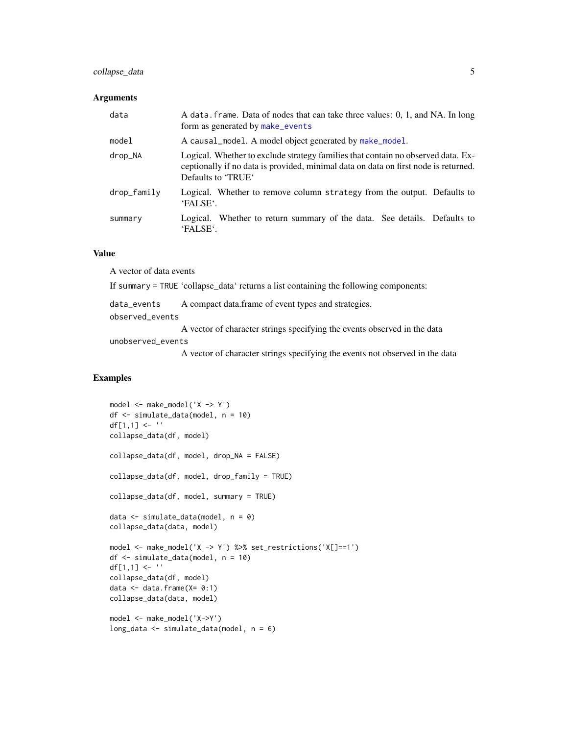# <span id="page-4-0"></span>collapse\_data 5

#### Arguments

| data        | A data. frame. Data of nodes that can take three values: 0, 1, and NA. In long<br>form as generated by make_events                                                                            |
|-------------|-----------------------------------------------------------------------------------------------------------------------------------------------------------------------------------------------|
| model       | A causal_model. A model object generated by make_model.                                                                                                                                       |
| drop_NA     | Logical. Whether to exclude strategy families that contain no observed data. Ex-<br>ceptionally if no data is provided, minimal data on data on first node is returned.<br>Defaults to 'TRUE' |
| drop_family | Logical. Whether to remove column strategy from the output. Defaults to<br>'FALSE'.                                                                                                           |
| summary     | Logical. Whether to return summary of the data. See details. Defaults to<br>'FALSE'.                                                                                                          |

# Value

A vector of data events If summary = TRUE 'collapse\_data' returns a list containing the following components: data\_events A compact data.frame of event types and strategies. observed\_events A vector of character strings specifying the events observed in the data unobserved\_events

A vector of character strings specifying the events not observed in the data

```
model <- make_model('X -> Y')
df <- simulate_data(model, n = 10)
df[1,1] <- ''
collapse_data(df, model)
collapse_data(df, model, drop_NA = FALSE)
collapse_data(df, model, drop_family = TRUE)
collapse_data(df, model, summary = TRUE)
data \le simulate_data(model, n = 0)
collapse_data(data, model)
model <- make_model('X -> Y') %>% set_restrictions('X[]==1')
df <- simulate_data(model, n = 10)
df[1,1] <- ''
collapse_data(df, model)
data \leq data.frame(X = 0:1)
collapse_data(data, model)
model <- make_model('X->Y')
long_data <- simulate_data(model, n = 6)
```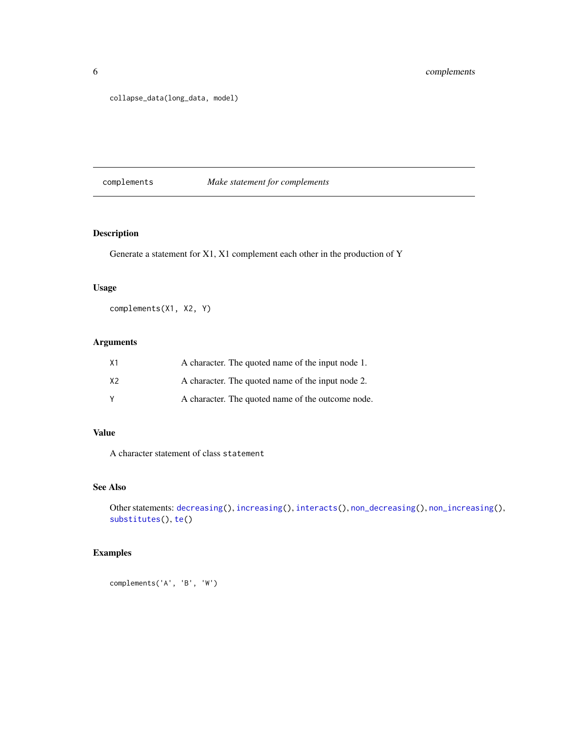<span id="page-5-0"></span>collapse\_data(long\_data, model)

# <span id="page-5-1"></span>complements *Make statement for complements*

# Description

Generate a statement for X1, X1 complement each other in the production of Y

# Usage

complements(X1, X2, Y)

# Arguments

| X <sub>1</sub> | A character. The quoted name of the input node 1. |
|----------------|---------------------------------------------------|
| X <sub>2</sub> | A character. The quoted name of the input node 2. |
| v              | A character. The quoted name of the outcome node. |

# Value

A character statement of class statement

# See Also

Other statements: [decreasing\(](#page-6-1)), [increasing\(](#page-20-1)), [interacts\(](#page-20-2)), [non\\_decreasing\(](#page-34-1)), [non\\_increasing\(](#page-35-1)), [substitutes\(](#page-54-1)), [te\(](#page-55-1))

# Examples

complements('A', 'B', 'W')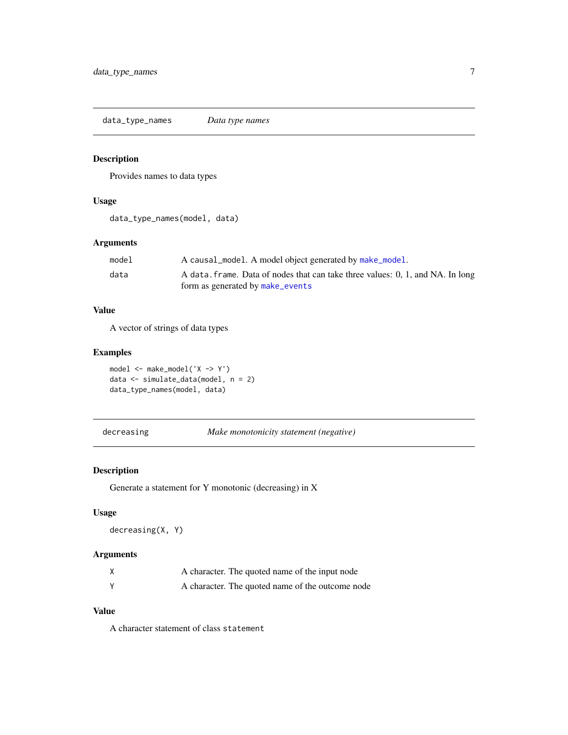<span id="page-6-0"></span>data\_type\_names *Data type names*

# Description

Provides names to data types

# Usage

data\_type\_names(model, data)

# Arguments

| model | A causal_model. A model object generated by make_model.                        |
|-------|--------------------------------------------------------------------------------|
| data  | A data. frame. Data of nodes that can take three values: 0, 1, and NA. In long |
|       | form as generated by make_events                                               |

# Value

A vector of strings of data types

# Examples

```
model <- make_model('X -> Y')
data <- simulate_data(model, n = 2)
data_type_names(model, data)
```
<span id="page-6-1"></span>decreasing *Make monotonicity statement (negative)*

# Description

Generate a statement for Y monotonic (decreasing) in X

# Usage

decreasing(X, Y)

# Arguments

| A character. The quoted name of the input node   |
|--------------------------------------------------|
| A character. The quoted name of the outcome node |

# Value

A character statement of class statement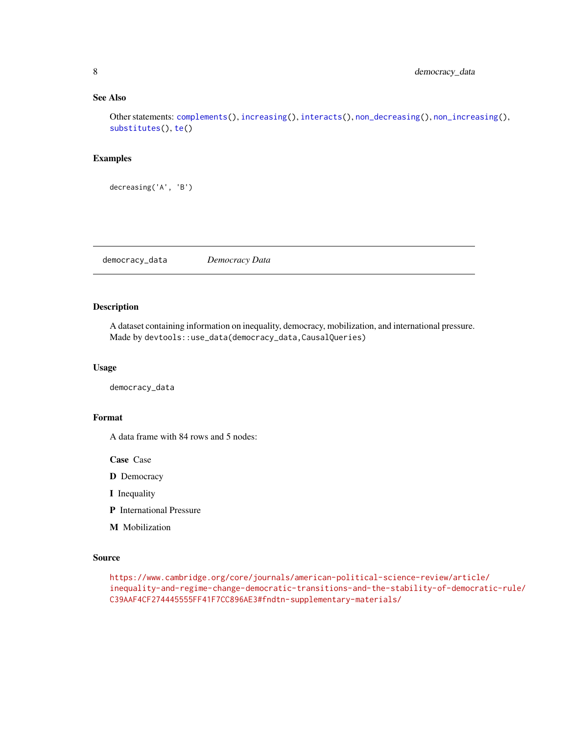# <span id="page-7-0"></span>See Also

Other statements: [complements\(](#page-5-1)), [increasing\(](#page-20-1)), [interacts\(](#page-20-2)), [non\\_decreasing\(](#page-34-1)), [non\\_increasing\(](#page-35-1)), [substitutes\(](#page-54-1)), [te\(](#page-55-1))

# Examples

decreasing('A', 'B')

democracy\_data *Democracy Data*

# Description

A dataset containing information on inequality, democracy, mobilization, and international pressure. Made by devtools::use\_data(democracy\_data,CausalQueries)

#### Usage

democracy\_data

## Format

A data frame with 84 rows and 5 nodes:

Case Case

D Democracy

I Inequality

- P International Pressure
- M Mobilization

#### Source

[https://www.cambridge.org/core/journals/american-political-science-review/artic](https://www.cambridge.org/core/journals/american-political-science-review/article/inequality-and-regime-change-democratic-transitions-and-the-stability-of-democratic-rule/C39AAF4CF274445555FF41F7CC896AE3#fndtn-supplementary-materials/)le/ [inequality-and-regime-change-democratic-transitions-and-the-stability-of-democr](https://www.cambridge.org/core/journals/american-political-science-review/article/inequality-and-regime-change-democratic-transitions-and-the-stability-of-democratic-rule/C39AAF4CF274445555FF41F7CC896AE3#fndtn-supplementary-materials/)atic-rule/ [C39AAF4CF274445555FF41F7CC896AE3#fndtn-supplementary-materials/](https://www.cambridge.org/core/journals/american-political-science-review/article/inequality-and-regime-change-democratic-transitions-and-the-stability-of-democratic-rule/C39AAF4CF274445555FF41F7CC896AE3#fndtn-supplementary-materials/)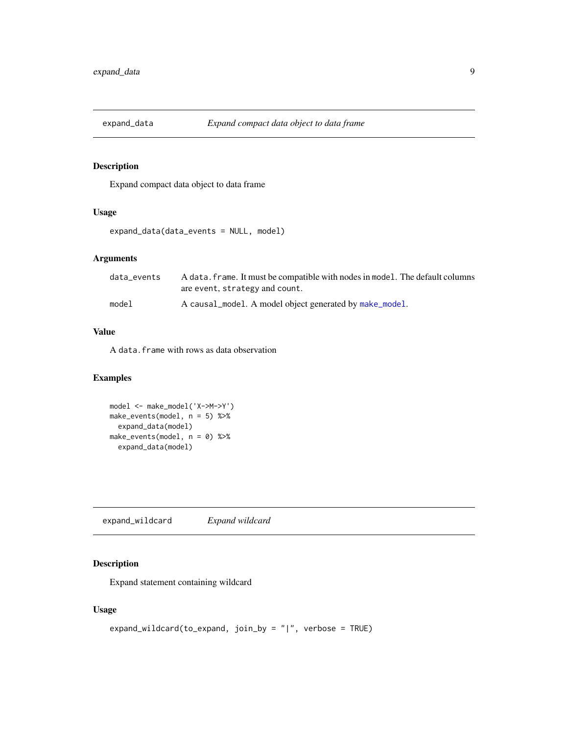<span id="page-8-0"></span>

Expand compact data object to data frame

# Usage

expand\_data(data\_events = NULL, model)

# Arguments

| data events | A data, frame. It must be compatible with nodes in model. The default columns<br>are event, strategy and count. |
|-------------|-----------------------------------------------------------------------------------------------------------------|
| model       | A causal_model. A model object generated by make_model.                                                         |

# Value

A data.frame with rows as data observation

# Examples

model <- make\_model('X->M->Y') make\_events(model, n = 5) %>% expand\_data(model) make\_events(model, n = 0) %>% expand\_data(model)

expand\_wildcard *Expand wildcard*

# Description

Expand statement containing wildcard

# Usage

```
expand_wildcard(to_expand, join_by = "|", verbose = TRUE)
```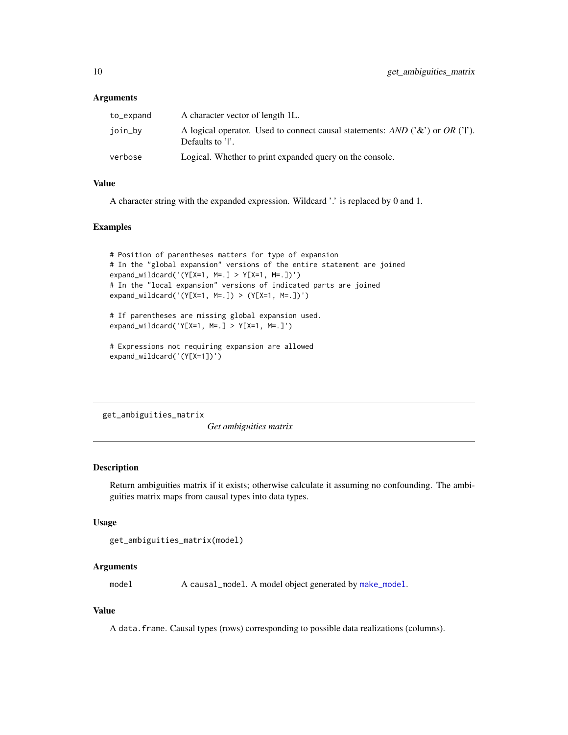#### <span id="page-9-0"></span>**Arguments**

| to_expand | A character vector of length 1L.                                                                      |
|-----------|-------------------------------------------------------------------------------------------------------|
| join_by   | A logical operator. Used to connect causal statements: AND $(3\&)$ or OR $(1')$ .<br>Defaults to 'I'. |
| verbose   | Logical. Whether to print expanded query on the console.                                              |

#### Value

A character string with the expanded expression. Wildcard '.' is replaced by 0 and 1.

#### Examples

```
# Position of parentheses matters for type of expansion
# In the "global expansion" versions of the entire statement are joined
expand_wildcard('(Y[X=1, M=.] > Y[X=1, M=.])')
# In the "local expansion" versions of indicated parts are joined
expand_wildcard('(Y[X=1, M=.]) > (Y[X=1, M=.])')
```
# If parentheses are missing global expansion used. expand\_wildcard('Y[X=1, M=.] > Y[X=1, M=.]')

```
# Expressions not requiring expansion are allowed
expand_wildcard('(Y[X=1])')
```
get\_ambiguities\_matrix

*Get ambiguities matrix*

#### Description

Return ambiguities matrix if it exists; otherwise calculate it assuming no confounding. The ambiguities matrix maps from causal types into data types.

#### Usage

```
get_ambiguities_matrix(model)
```
### Arguments

model A causal\_model. A model object generated by [make\\_model](#page-26-1).

#### Value

A data.frame. Causal types (rows) corresponding to possible data realizations (columns).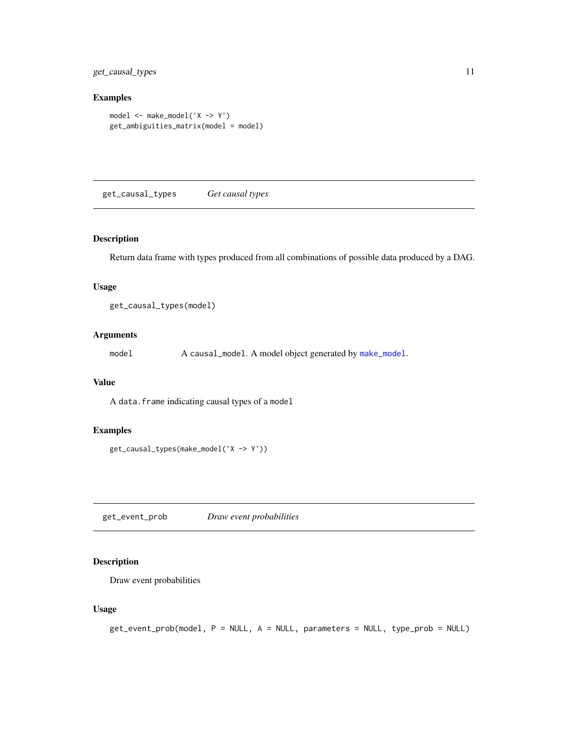<span id="page-10-0"></span>get\_causal\_types 11

# Examples

```
model <- make_model('X -> Y')
get_ambiguities_matrix(model = model)
```
get\_causal\_types *Get causal types*

# Description

Return data frame with types produced from all combinations of possible data produced by a DAG.

# Usage

get\_causal\_types(model)

# Arguments

model A causal\_model. A model object generated by [make\\_model](#page-26-1).

# Value

A data.frame indicating causal types of a model

#### Examples

```
get_causal_types(make_model('X -> Y'))
```
get\_event\_prob *Draw event probabilities*

# Description

Draw event probabilities

#### Usage

```
get_event_prob(model, P = NULL, A = NULL, parameters = NULL, type_prob = NULL)
```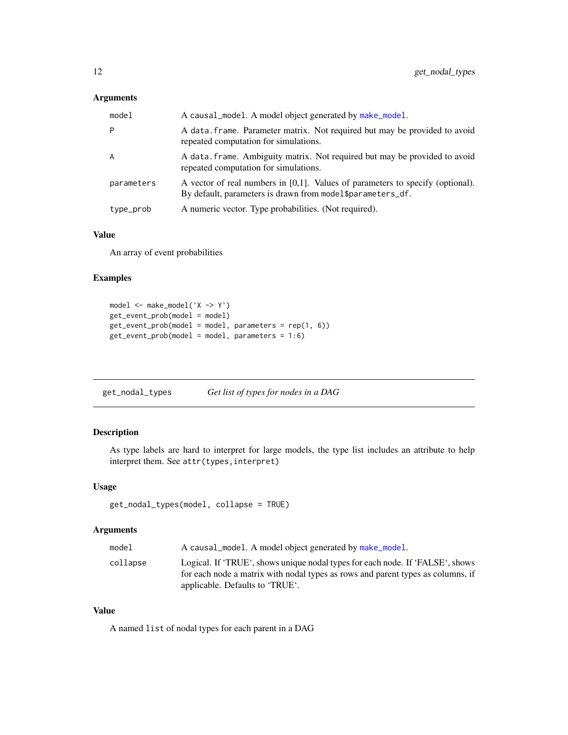# <span id="page-11-0"></span>Arguments

| model      | A causal_model. A model object generated by make_model.                                                                                         |
|------------|-------------------------------------------------------------------------------------------------------------------------------------------------|
| P          | A data frame. Parameter matrix. Not required but may be provided to avoid<br>repeated computation for simulations.                              |
| A          | A data. frame. Ambiguity matrix. Not required but may be provided to avoid<br>repeated computation for simulations.                             |
| parameters | A vector of real numbers in $[0,1]$ . Values of parameters to specify (optional).<br>By default, parameters is drawn from model\$parameters_df. |
| type_prob  | A numeric vector. Type probabilities. (Not required).                                                                                           |

# Value

An array of event probabilities

# Examples

```
model <- make_model('X -> Y')
get_event_prob(model = model)
get_event_prob(model = model, parameters = rep(1, 6))
get_event_prob(model = model, parameters = 1:6)
```
<span id="page-11-1"></span>

| get_nodal_types | Get list of types for nodes in a DAG |
|-----------------|--------------------------------------|
|-----------------|--------------------------------------|

# Description

As type labels are hard to interpret for large models, the type list includes an attribute to help interpret them. See attr(types,interpret)

#### Usage

```
get_nodal_types(model, collapse = TRUE)
```
# Arguments

| model    | A causal_model. A model object generated by make_model.                         |
|----------|---------------------------------------------------------------------------------|
| collapse | Logical. If 'TRUE', shows unique nodal types for each node. If 'FALSE', shows   |
|          | for each node a matrix with nodal types as rows and parent types as columns, if |
|          | applicable. Defaults to 'TRUE'.                                                 |

# Value

A named list of nodal types for each parent in a DAG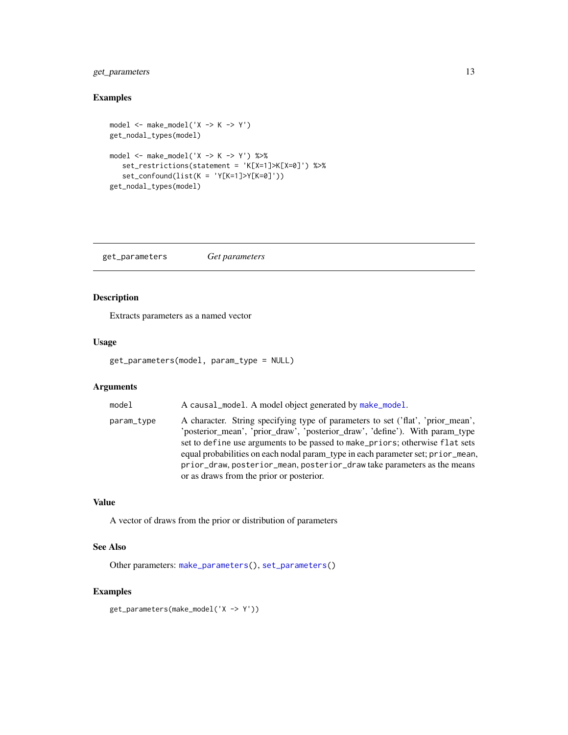# <span id="page-12-0"></span>get\_parameters 13

# Examples

```
model \leq make_model('X -> K -> Y')
get_nodal_types(model)
model <- make_model('X -> K -> Y') %>%
   set_restrictions(statement = 'K[X=1]>K[X=0]') %>%
   set_confound(list(K = 'Y[K=1]>Y[K=0]'))
get_nodal_types(model)
```
<span id="page-12-1"></span>get\_parameters *Get parameters*

#### Description

Extracts parameters as a named vector

#### Usage

get\_parameters(model, param\_type = NULL)

#### Arguments

model A causal\_model. A model object generated by [make\\_model](#page-26-1). param\_type A character. String specifying type of parameters to set ('flat', 'prior\_mean', 'posterior\_mean', 'prior\_draw', 'posterior\_draw', 'define'). With param\_type

set to define use arguments to be passed to make\_priors; otherwise flat sets equal probabilities on each nodal param\_type in each parameter set; prior\_mean, prior\_draw, posterior\_mean, posterior\_draw take parameters as the means or as draws from the prior or posterior.

#### Value

A vector of draws from the prior or distribution of parameters

# See Also

Other parameters: [make\\_parameters\(](#page-27-1)), [set\\_parameters\(](#page-44-1))

# Examples

get\_parameters(make\_model('X -> Y'))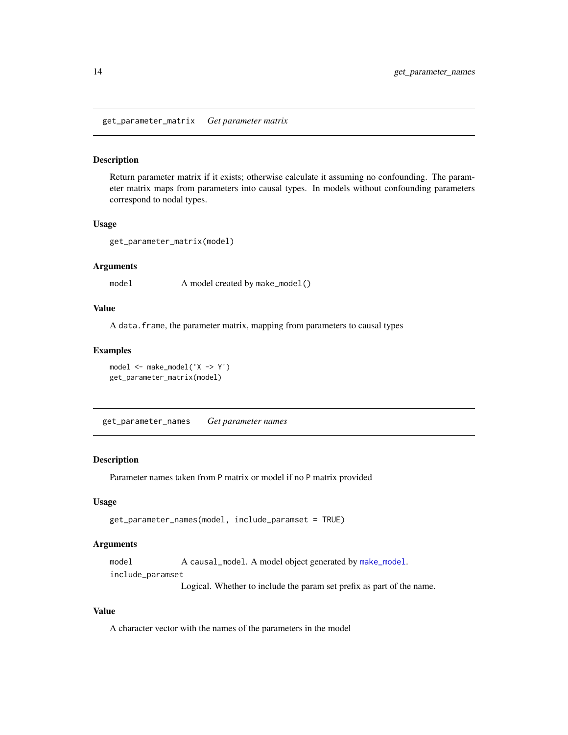<span id="page-13-0"></span>get\_parameter\_matrix *Get parameter matrix*

#### Description

Return parameter matrix if it exists; otherwise calculate it assuming no confounding. The parameter matrix maps from parameters into causal types. In models without confounding parameters correspond to nodal types.

# Usage

get\_parameter\_matrix(model)

#### **Arguments**

model A model created by make\_model()

#### Value

A data.frame, the parameter matrix, mapping from parameters to causal types

#### Examples

```
model <- make_model('X -> Y')
get_parameter_matrix(model)
```
get\_parameter\_names *Get parameter names*

#### Description

Parameter names taken from P matrix or model if no P matrix provided

#### Usage

get\_parameter\_names(model, include\_paramset = TRUE)

# Arguments

model A causal\_model. A model object generated by [make\\_model](#page-26-1). include\_paramset

Logical. Whether to include the param set prefix as part of the name.

# Value

A character vector with the names of the parameters in the model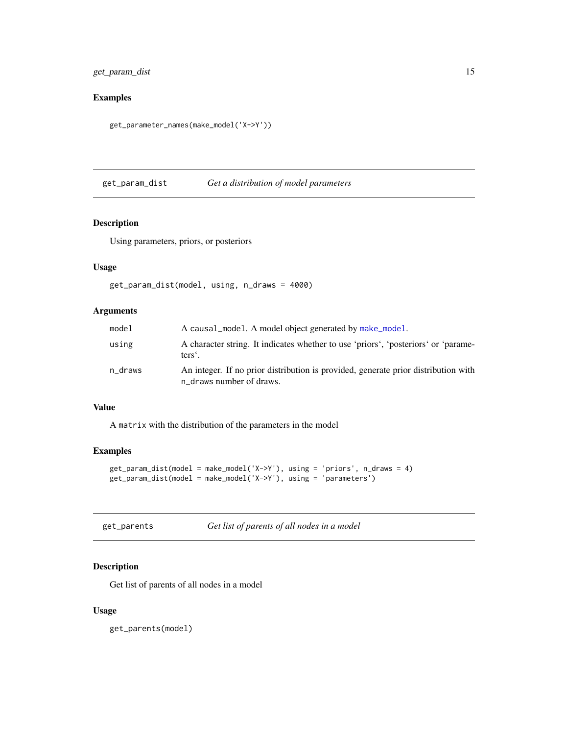# <span id="page-14-0"></span>get\_param\_dist 15

# Examples

get\_parameter\_names(make\_model('X->Y'))

get\_param\_dist *Get a distribution of model parameters*

# Description

Using parameters, priors, or posteriors

# Usage

```
get_param_dist(model, using, n_draws = 4000)
```
# Arguments

| model   | A causal_model. A model object generated by make_model.                                                        |
|---------|----------------------------------------------------------------------------------------------------------------|
| using   | A character string. It indicates whether to use 'priors', 'posteriors' or 'parame-<br>ters'.                   |
| n_draws | An integer. If no prior distribution is provided, generate prior distribution with<br>n_draws number of draws. |

# Value

A matrix with the distribution of the parameters in the model

# Examples

```
get_param_dist(model = make_model('X->Y'), using = 'priors', n_draws = 4)
get_param_dist(model = make_model('X->Y'), using = 'parameters')
```
# Description

Get list of parents of all nodes in a model

# Usage

get\_parents(model)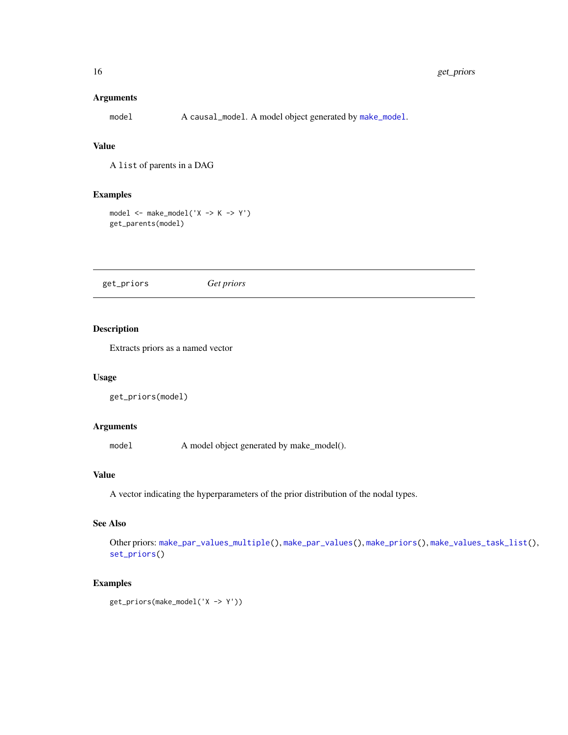# <span id="page-15-0"></span>Arguments

model A causal\_model. A model object generated by [make\\_model](#page-26-1).

# Value

A list of parents in a DAG

# Examples

 $model \leq - make_model('X \Rightarrow K \Rightarrow Y')$ get\_parents(model)

<span id="page-15-1"></span>get\_priors *Get priors*

# Description

Extracts priors as a named vector

# Usage

```
get_priors(model)
```
#### Arguments

model A model object generated by make\_model().

# Value

A vector indicating the hyperparameters of the prior distribution of the nodal types.

# See Also

Other priors: [make\\_par\\_values\\_multiple\(](#page-0-0)), [make\\_par\\_values\(](#page-0-0)), [make\\_priors\(](#page-30-1)), [make\\_values\\_task\\_list\(](#page-33-1)), [set\\_priors\(](#page-46-1))

#### Examples

get\_priors(make\_model('X -> Y'))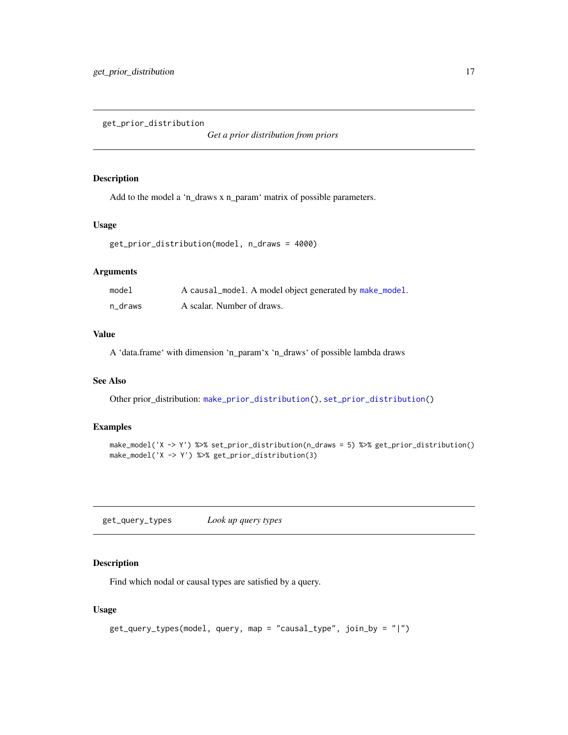<span id="page-16-1"></span><span id="page-16-0"></span>get\_prior\_distribution

*Get a prior distribution from priors*

# Description

Add to the model a 'n\_draws x n\_param' matrix of possible parameters.

# Usage

```
get_prior_distribution(model, n_draws = 4000)
```
# Arguments

| model   | A causal_model. A model object generated by make_model. |
|---------|---------------------------------------------------------|
| n draws | A scalar. Number of draws.                              |

#### Value

A 'data.frame' with dimension 'n\_param'x 'n\_draws' of possible lambda draws

# See Also

Other prior\_distribution: [make\\_prior\\_distribution\(](#page-32-1)), [set\\_prior\\_distribution\(](#page-50-1))

#### Examples

```
make_model('X -> Y') %>% set_prior_distribution(n_draws = 5) %>% get_prior_distribution()
make_model('X -> Y') %>% get_prior_distribution(3)
```
get\_query\_types *Look up query types*

# Description

Find which nodal or causal types are satisfied by a query.

#### Usage

```
get_query_types(model, query, map = "causal_type", join_by = "|")
```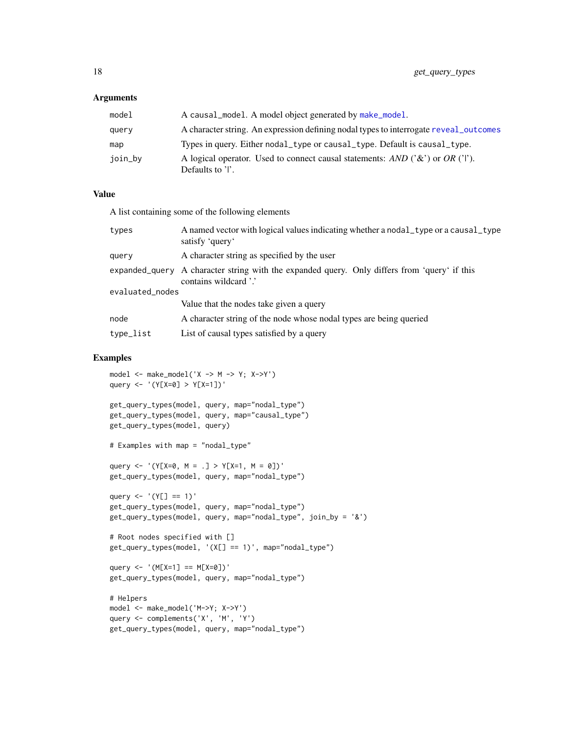#### <span id="page-17-0"></span>Arguments

| model   | A causal_model. A model object generated by make_model.                                                  |
|---------|----------------------------------------------------------------------------------------------------------|
| query   | A character string. An expression defining nodal types to interrogate reveal_outcomes                    |
| map     | Types in query. Either nodal type or causal type. Default is causal type.                                |
| join_by | A logical operator. Used to connect causal statements: AND $(3\alpha)$ or OR $(1)$ .<br>Defaults to 'l'. |

# Value

A list containing some of the following elements

| types           | A named vector with logical values indicating whether a nodal_type or a causal_type<br>satisfy 'query'                |
|-----------------|-----------------------------------------------------------------------------------------------------------------------|
| query           | A character string as specified by the user                                                                           |
|                 | expanded query A character string with the expanded query. Only differs from 'query' if this<br>contains wildcard '.' |
| evaluated_nodes |                                                                                                                       |
|                 | Value that the nodes take given a query                                                                               |
| node            | A character string of the node whose nodal types are being queried                                                    |
| type_list       | List of causal types satisfied by a query                                                                             |

```
model \leq - make_model('X \Rightarrow M \Rightarrow Y; X\Rightarrow Y')query <- '(Y[X=0] > Y[X=1])'
get_query_types(model, query, map="nodal_type")
get_query_types(model, query, map="causal_type")
get_query_types(model, query)
# Examples with map = "nodal_type"
query <- '(Y[X=0, M = .] > Y[X=1, M = 0])'get_query_types(model, query, map="nodal_type")
query \leftarrow '(Y[] == 1)'
get_query_types(model, query, map="nodal_type")
get_query_types(model, query, map="nodal_type", join_by = '&')
# Root nodes specified with []
get_query_types(model, '(X[] == 1)', map="nodal_type")
query <- '(M[X=1] == M[X=0])'get_query_types(model, query, map="nodal_type")
# Helpers
model <- make_model('M->Y; X->Y')
query <- complements('X', 'M', 'Y')
get_query_types(model, query, map="nodal_type")
```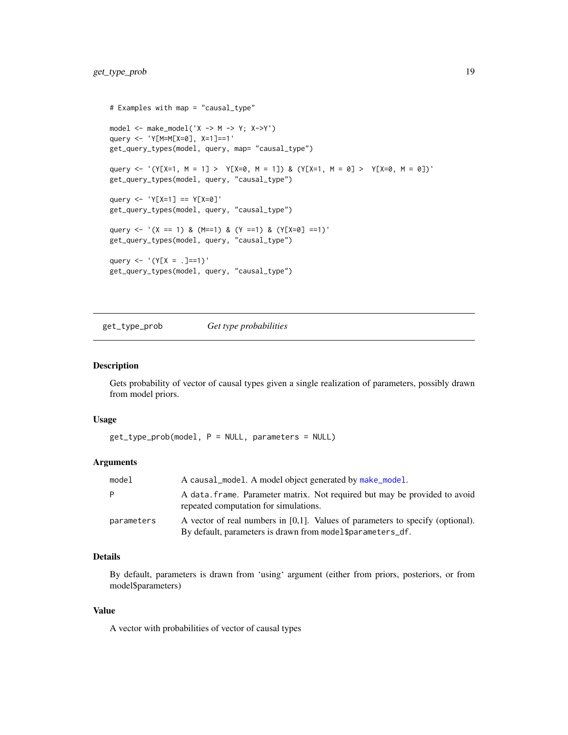```
# Examples with map = "causal_type"
model <- make_model('X -> M -> Y; X->Y')
query <- 'Y[M=M[X=0], X=1]==1'
get_query_types(model, query, map= "causal_type")
query <- '(Y[X=1, M = 1] > Y[X=0, M = 1]) & (Y[X=1, M = 0] > Y[X=0, M = 0])'
get_query_types(model, query, "causal_type")
query <- 'Y[X=1] == Y[X=0]'
get_query_types(model, query, "causal_type")
query <- '(X == 1) & (M == 1) & (Y == 1) & (Y[X = 0] == 1)'get_query_types(model, query, "causal_type")
query <- '(Y[X = .]==1)'
get_query_types(model, query, "causal_type")
```
get\_type\_prob *Get type probabilities*

#### Description

Gets probability of vector of causal types given a single realization of parameters, possibly drawn from model priors.

#### Usage

get\_type\_prob(model, P = NULL, parameters = NULL)

#### Arguments

| model      | A causal_model. A model object generated by make_model.                                                                                          |
|------------|--------------------------------------------------------------------------------------------------------------------------------------------------|
| P.         | A data, frame. Parameter matrix. Not required but may be provided to avoid<br>repeated computation for simulations.                              |
| parameters | A vector of real numbers in $[0,1]$ . Values of parameters to specify (optional).<br>By default, parameters is drawn from model \$parameters_df. |

# Details

By default, parameters is drawn from 'using' argument (either from priors, posteriors, or from model\$parameters)

#### Value

A vector with probabilities of vector of causal types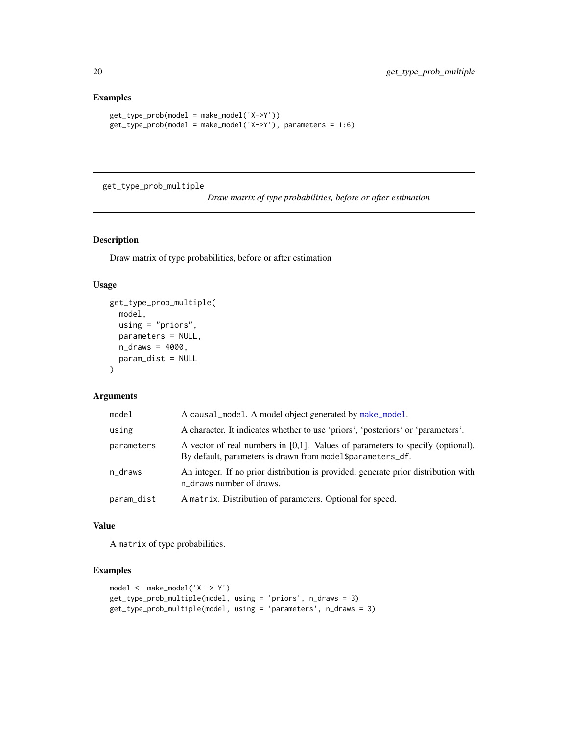# Examples

```
get_type_prob(model = make_model('X->Y'))
get_type_prob(model = make_model('X->Y'), parameters = 1:6)
```
get\_type\_prob\_multiple

*Draw matrix of type probabilities, before or after estimation*

# Description

Draw matrix of type probabilities, before or after estimation

#### Usage

```
get_type_prob_multiple(
  model,
  using = "priors",
  parameters = NULL,
  n_{\text{max}} = 4000,param_dist = NULL
\lambda
```
#### Arguments

| model      | A causal_model. A model object generated by make_model.                                                                                         |
|------------|-------------------------------------------------------------------------------------------------------------------------------------------------|
| using      | A character. It indicates whether to use 'priors', 'posteriors' or 'parameters'.                                                                |
| parameters | A vector of real numbers in $[0,1]$ . Values of parameters to specify (optional).<br>By default, parameters is drawn from model\$parameters_df. |
| n_draws    | An integer. If no prior distribution is provided, generate prior distribution with<br>n_draws number of draws.                                  |
| param_dist | A matrix. Distribution of parameters. Optional for speed.                                                                                       |

# Value

A matrix of type probabilities.

```
model <- make_model('X -> Y')
get_type_prob_multiple(model, using = 'priors', n_draws = 3)
get_type_prob_multiple(model, using = 'parameters', n_draws = 3)
```
<span id="page-19-0"></span>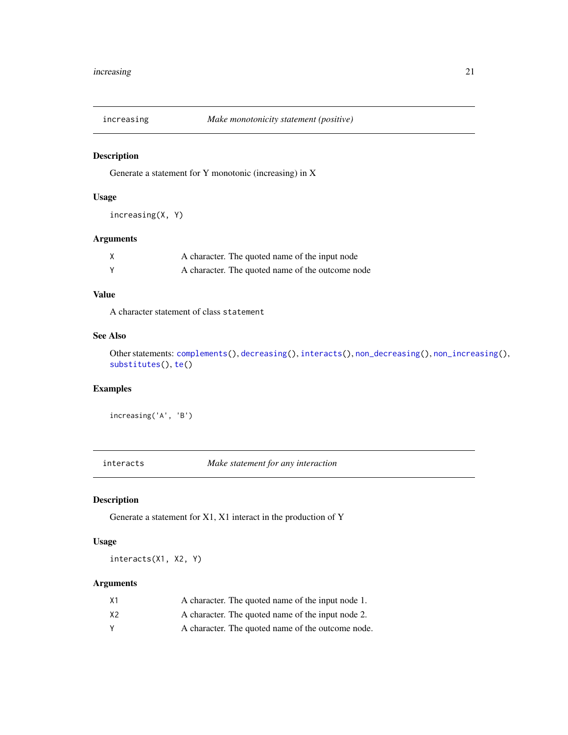<span id="page-20-1"></span><span id="page-20-0"></span>

Generate a statement for Y monotonic (increasing) in X

#### Usage

```
increasing(X, Y)
```
# Arguments

| A character. The quoted name of the input node   |
|--------------------------------------------------|
| A character. The quoted name of the outcome node |

# Value

A character statement of class statement

# See Also

```
Other statements: complements(), decreasing(), interacts(), non_decreasing(), non_increasing(),
substitutes(), te()
```
# Examples

increasing('A', 'B')

<span id="page-20-2"></span>interacts *Make statement for any interaction*

# Description

Generate a statement for X1, X1 interact in the production of Y

# Usage

interacts(X1, X2, Y)

# Arguments

| Χ1 | A character. The quoted name of the input node 1. |
|----|---------------------------------------------------|
| Х2 | A character. The quoted name of the input node 2. |
|    | A character. The quoted name of the outcome node. |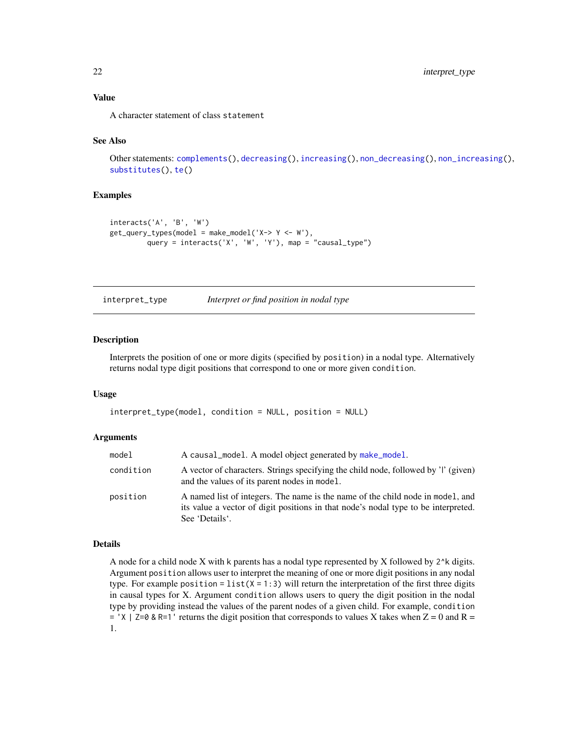# <span id="page-21-0"></span>Value

A character statement of class statement

#### See Also

Other statements: [complements\(](#page-5-1)), [decreasing\(](#page-6-1)), [increasing\(](#page-20-1)), [non\\_decreasing\(](#page-34-1)), [non\\_increasing\(](#page-35-1)), [substitutes\(](#page-54-1)), [te\(](#page-55-1))

#### Examples

```
interacts('A', 'B', 'W')
get\_query\_types(model = make_model('X-> Y <- W'),query = interacts('X', 'W', 'Y'), map = "causal_type")
```
interpret\_type *Interpret or find position in nodal type*

#### Description

Interprets the position of one or more digits (specified by position) in a nodal type. Alternatively returns nodal type digit positions that correspond to one or more given condition.

#### Usage

interpret\_type(model, condition = NULL, position = NULL)

#### Arguments

| model     | A causal_model. A model object generated by make_model.                                                                                                                                |
|-----------|----------------------------------------------------------------------------------------------------------------------------------------------------------------------------------------|
| condition | A vector of characters. Strings specifying the child node, followed by 'l' (given)<br>and the values of its parent nodes in model.                                                     |
| position  | A named list of integers. The name is the name of the child node in model, and<br>its value a vector of digit positions in that node's nodal type to be interpreted.<br>See 'Details'. |

#### Details

A node for a child node X with k parents has a nodal type represented by X followed by 2^k digits. Argument position allows user to interpret the meaning of one or more digit positions in any nodal type. For example position =  $list(X = 1:3)$  will return the interpretation of the first three digits in causal types for X. Argument condition allows users to query the digit position in the nodal type by providing instead the values of the parent nodes of a given child. For example, condition  $=$  'X | Z=0 & R=1' returns the digit position that corresponds to values X takes when Z = 0 and R = 1.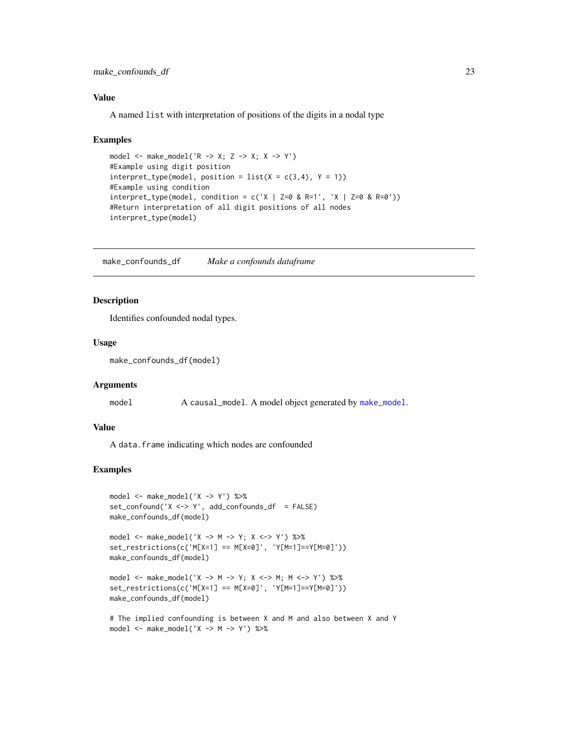# <span id="page-22-0"></span>Value

A named list with interpretation of positions of the digits in a nodal type

#### Examples

```
model \leq make_model('R \Rightarrow X; Z \Rightarrow X; X \Rightarrow Y')
#Example using digit position
interpret\_type(model, position = list(X = c(3, 4), Y = 1))#Example using condition
interpret_type(model, condition = c('X | Z=0 & R=1', 'X | Z=0 & R=0'))#Return interpretation of all digit positions of all nodes
interpret_type(model)
```
make\_confounds\_df *Make a confounds dataframe*

# Description

Identifies confounded nodal types.

#### Usage

```
make_confounds_df(model)
```
#### Arguments

model A causal\_model. A model object generated by [make\\_model](#page-26-1).

#### Value

A data.frame indicating which nodes are confounded

```
model <- make_model('X -> Y') %>%
set_{contound('X < -&gt; Y', add_{contounds_d} = FALSE)}make_confounds_df(model)
```

```
model <- make_model('X -> M -> Y; X <-> Y') %>%
set_restrictions(c('M[X=1] == M[X=0]', 'Y[M=1]==Y[M=0]'))
make_confounds_df(model)
```

```
model <- make_model('X -> M -> Y; X <-> M; M <-> Y') %>%
set_restrictions(c('M[X=1] == M[X=0]', 'Y[M=1]==Y[M=0]'))
make_confounds_df(model)
```

```
# The implied confounding is between X and M and also between X and Y
model <- make_model('X -> M -> Y') %>%
```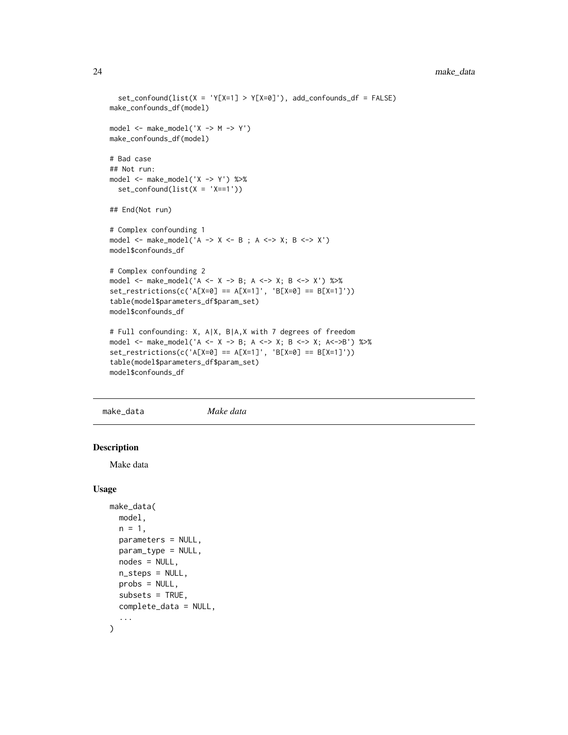```
set_{cond(list(X = 'Y[X=1] > Y[X=0]'), add_confounds_df = FALSE)
make_confounds_df(model)
model \leq - make_model('X -> M -> Y')make_confounds_df(model)
# Bad case
## Not run:
model <- make_model('X -> Y') %>%
  set_{contound(list(X = 'X==1'))}## End(Not run)
# Complex confounding 1
model <- make_model('A -> X <- B ; A <-> X; B <-> X')
model$confounds_df
# Complex confounding 2
model <- make_model('A <- X -> B; A <-> X; B <-> X') %>%
set\_restrictions(c('A[X=0] == A[X=1]', 'B[X=0] == B[X=1]'))table(model$parameters_df$param_set)
model$confounds_df
# Full confounding: X, A|X, B|A,X with 7 degrees of freedom
model <- make_model('A <- X -> B; A <-> X; B <-> X; A<->B') %>%
set_restrictions(c('A[X=0] == A[X=1]', 'B[X=0] == B[X=1]'))
table(model$parameters_df$param_set)
model$confounds_df
```
<span id="page-23-1"></span>make\_data *Make data*

# Description

Make data

#### Usage

```
make_data(
 model,
  n = 1,
  parameters = NULL,
  param_type = NULL,
  nodes = NULL,
  n_{\text{steps}} = NULL,
  probs = NULL,
  subsets = TRUE,complete_data = NULL,
  ...
)
```
<span id="page-23-0"></span>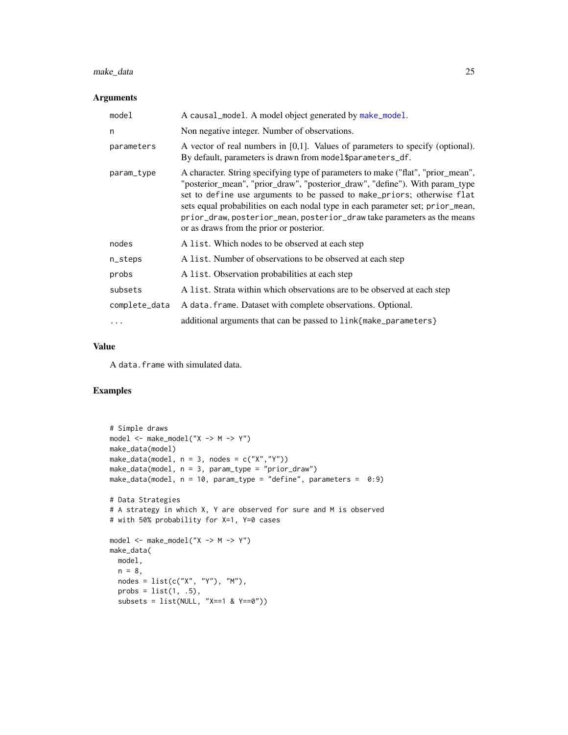# <span id="page-24-0"></span>make\_data 25

#### Arguments

| model         | A causal_model. A model object generated by make_model.                                                                                                                                                                                                                                                                                                                                                                                              |
|---------------|------------------------------------------------------------------------------------------------------------------------------------------------------------------------------------------------------------------------------------------------------------------------------------------------------------------------------------------------------------------------------------------------------------------------------------------------------|
| n             | Non negative integer. Number of observations.                                                                                                                                                                                                                                                                                                                                                                                                        |
| parameters    | A vector of real numbers in $[0,1]$ . Values of parameters to specify (optional).<br>By default, parameters is drawn from model\$parameters_df.                                                                                                                                                                                                                                                                                                      |
| param_type    | A character. String specifying type of parameters to make ("flat", "prior_mean",<br>"posterior_mean", "prior_draw", "posterior_draw", "define"). With param_type<br>set to define use arguments to be passed to make_priors; otherwise flat<br>sets equal probabilities on each nodal type in each parameter set; prior_mean,<br>prior_draw, posterior_mean, posterior_draw take parameters as the means<br>or as draws from the prior or posterior. |
| nodes         | A list. Which nodes to be observed at each step                                                                                                                                                                                                                                                                                                                                                                                                      |
| n_steps       | A list. Number of observations to be observed at each step                                                                                                                                                                                                                                                                                                                                                                                           |
| probs         | A list. Observation probabilities at each step                                                                                                                                                                                                                                                                                                                                                                                                       |
| subsets       | A list. Strata within which observations are to be observed at each step                                                                                                                                                                                                                                                                                                                                                                             |
| complete_data | A data. frame. Dataset with complete observations. Optional.                                                                                                                                                                                                                                                                                                                                                                                         |
| $\cdots$      | additional arguments that can be passed to link{make_parameters}                                                                                                                                                                                                                                                                                                                                                                                     |

# Value

A data.frame with simulated data.

```
# Simple draws
model <- make_model("X -> M -> Y")
make_data(model)
make_data(model, n = 3, nodes = c("X","Y"))
make_data(model, n = 3, param_type = "prior_draw")
make_data(model, n = 10, param_type = "define", parameters = 0:9)# Data Strategies
# A strategy in which X, Y are observed for sure and M is observed
# with 50% probability for X=1, Y=0 cases
model <- make_model("X -> M -> Y")
make_data(
 model,
  n = 8,
  nodes = list(c("X", "Y"), "M"),
  probs = list(1, .5),subsets = list(NULL, "X==1 & Y==0"))
```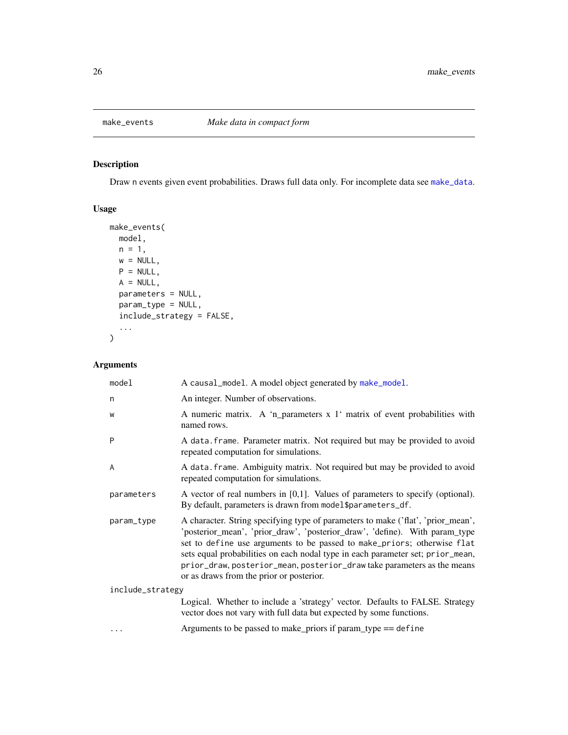<span id="page-25-1"></span><span id="page-25-0"></span>

Draw n events given event probabilities. Draws full data only. For incomplete data see [make\\_data](#page-23-1).

# Usage

```
make_events(
 model,
 n = 1,
 w = NULL,P = NULL,A = NULL,parameters = NULL,
 param_type = NULL,
 include_strategy = FALSE,
  ...
)
```
# Arguments

| model            | A causal_model. A model object generated by make_model.                                                                                                                                                                                                                                                                                                                                                                                             |  |
|------------------|-----------------------------------------------------------------------------------------------------------------------------------------------------------------------------------------------------------------------------------------------------------------------------------------------------------------------------------------------------------------------------------------------------------------------------------------------------|--|
| n                | An integer. Number of observations.                                                                                                                                                                                                                                                                                                                                                                                                                 |  |
| W                | A numeric matrix. A 'n_parameters x 1' matrix of event probabilities with<br>named rows.                                                                                                                                                                                                                                                                                                                                                            |  |
| P                | A data. frame. Parameter matrix. Not required but may be provided to avoid<br>repeated computation for simulations.                                                                                                                                                                                                                                                                                                                                 |  |
| A                | A data. frame. Ambiguity matrix. Not required but may be provided to avoid<br>repeated computation for simulations.                                                                                                                                                                                                                                                                                                                                 |  |
| parameters       | A vector of real numbers in $[0,1]$ . Values of parameters to specify (optional).<br>By default, parameters is drawn from model\$parameters_df.                                                                                                                                                                                                                                                                                                     |  |
| param_type       | A character. String specifying type of parameters to make ('flat', 'prior_mean',<br>'posterior_mean', 'prior_draw', 'posterior_draw', 'define). With param_type<br>set to define use arguments to be passed to make_priors; otherwise flat<br>sets equal probabilities on each nodal type in each parameter set; prior_mean,<br>prior_draw, posterior_mean, posterior_draw take parameters as the means<br>or as draws from the prior or posterior. |  |
| include_strategy |                                                                                                                                                                                                                                                                                                                                                                                                                                                     |  |
|                  | Logical. Whether to include a 'strategy' vector. Defaults to FALSE. Strategy<br>vector does not vary with full data but expected by some functions.                                                                                                                                                                                                                                                                                                 |  |
|                  | Arguments to be passed to make_priors if $param_type == define$                                                                                                                                                                                                                                                                                                                                                                                     |  |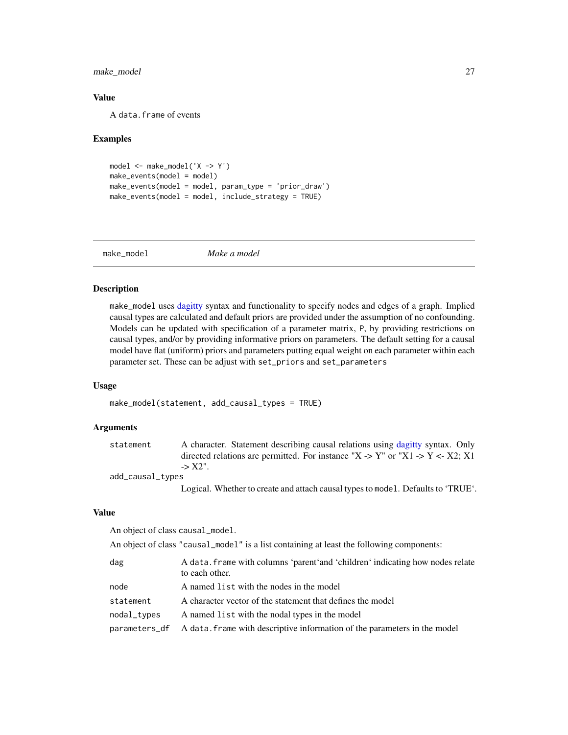# <span id="page-26-0"></span>make\_model 27

# Value

A data.frame of events

#### Examples

```
model <- make_model('X -> Y')
make_events(model = model)
make_events(model = model, param_type = 'prior_draw')
make_events(model = model, include_strategy = TRUE)
```
<span id="page-26-1"></span>make\_model *Make a model*

#### Description

make\_model uses [dagitty](#page-0-0) syntax and functionality to specify nodes and edges of a graph. Implied causal types are calculated and default priors are provided under the assumption of no confounding. Models can be updated with specification of a parameter matrix, P, by providing restrictions on causal types, and/or by providing informative priors on parameters. The default setting for a causal model have flat (uniform) priors and parameters putting equal weight on each parameter within each parameter set. These can be adjust with set\_priors and set\_parameters

#### Usage

make\_model(statement, add\_causal\_types = TRUE)

#### Arguments

| statement        | A character. Statement describing causal relations using dagitty syntax. Only    |
|------------------|----------------------------------------------------------------------------------|
|                  | directed relations are permitted. For instance "X -> Y" or "X1 -> Y <- X2; X1    |
|                  | $->X2"$ .                                                                        |
| add_causal_types |                                                                                  |
|                  | Logical. Whether to create and attach causal types to model. Defaults to 'TRUE'. |

#### Value

An object of class causal\_model.

|  |  |  | An object of class "causal_model" is a list containing at least the following components: |
|--|--|--|-------------------------------------------------------------------------------------------|
|--|--|--|-------------------------------------------------------------------------------------------|

| dag         | A data. frame with columns 'parent' and 'children' indicating how nodes relate<br>to each other. |
|-------------|--------------------------------------------------------------------------------------------------|
| node        | A named list with the nodes in the model                                                         |
| statement   | A character vector of the statement that defines the model                                       |
| nodal_types | A named list with the nodal types in the model                                                   |
|             | parameters_df A data. frame with descriptive information of the parameters in the model          |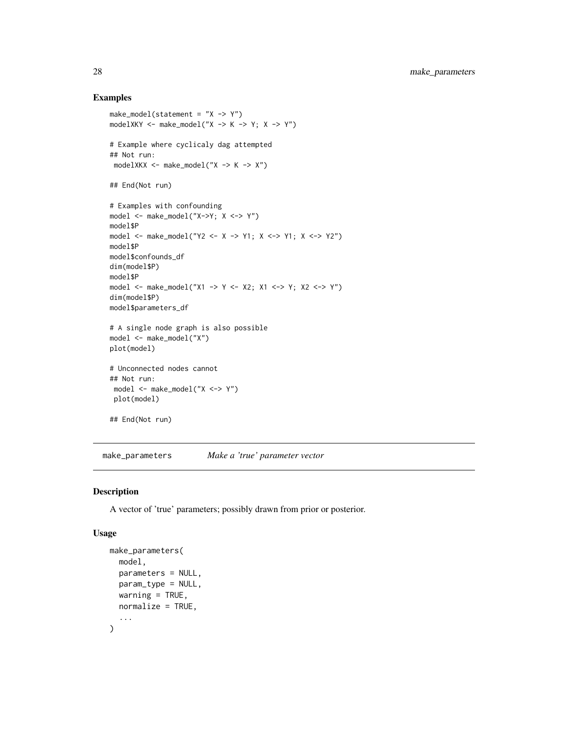#### Examples

```
make_model(statement = "X \rightarrow Y")
modelXKY <- make_model("X -> K -> Y; X -> Y")
# Example where cyclicaly dag attempted
## Not run:
modelXKX <- make_model("X -> K -> X")
## End(Not run)
# Examples with confounding
model <- make_model("X->Y; X <-> Y")
model$P
model <- make_model("Y2 <- X -> Y1; X <-> Y1; X <-> Y2")
model$P
model$confounds_df
dim(model$P)
model$P
model <- make_model("X1 -> Y <- X2; X1 <-> Y; X2 <-> Y")
dim(model$P)
model$parameters_df
# A single node graph is also possible
model <- make_model("X")
plot(model)
# Unconnected nodes cannot
## Not run:
model <- make_model("X <-> Y")
 plot(model)
## End(Not run)
```
<span id="page-27-1"></span>make\_parameters *Make a 'true' parameter vector*

#### Description

A vector of 'true' parameters; possibly drawn from prior or posterior.

# Usage

```
make_parameters(
  model,
  parameters = NULL,
  param_type = NULL,
  warning = TRUE,
  normalize = TRUE,
  ...
\mathcal{L}
```
<span id="page-27-0"></span>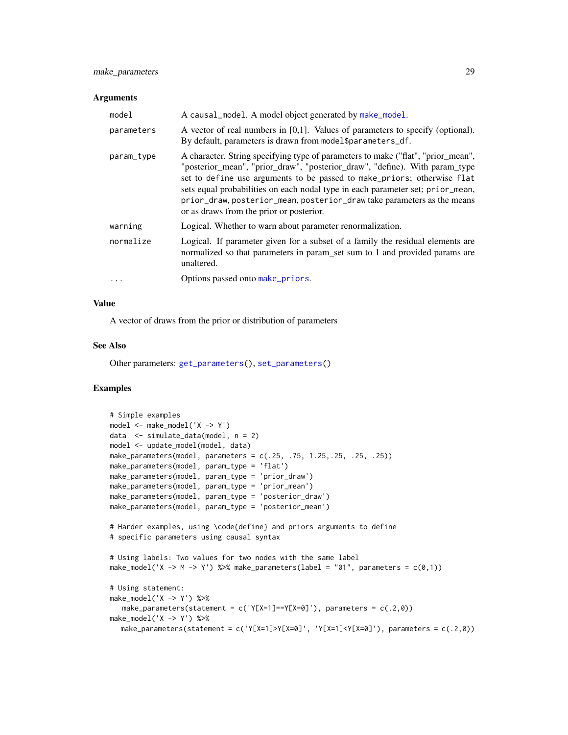# <span id="page-28-0"></span>make\_parameters 29

#### **Arguments**

| model      | A causal_model. A model object generated by make_model.                                                                                                                                                                                                                                                                                                                                                                                             |
|------------|-----------------------------------------------------------------------------------------------------------------------------------------------------------------------------------------------------------------------------------------------------------------------------------------------------------------------------------------------------------------------------------------------------------------------------------------------------|
| parameters | A vector of real numbers in $[0,1]$ . Values of parameters to specify (optional).<br>By default, parameters is drawn from model\$parameters_df.                                                                                                                                                                                                                                                                                                     |
| param_type | A character. String specifying type of parameters to make ("flat", "prior_mean",<br>"posterior_mean", "prior_draw", "posterior_draw", "define). With param_type<br>set to define use arguments to be passed to make_priors; otherwise flat<br>sets equal probabilities on each nodal type in each parameter set; prior_mean,<br>prior_draw, posterior_mean, posterior_draw take parameters as the means<br>or as draws from the prior or posterior. |
| warning    | Logical. Whether to warn about parameter renormalization.                                                                                                                                                                                                                                                                                                                                                                                           |
| normalize  | Logical. If parameter given for a subset of a family the residual elements are<br>normalized so that parameters in param_set sum to 1 and provided params are<br>unaltered.                                                                                                                                                                                                                                                                         |
| $\ddots$   | Options passed onto make_priors.                                                                                                                                                                                                                                                                                                                                                                                                                    |

#### Value

A vector of draws from the prior or distribution of parameters

#### See Also

Other parameters: [get\\_parameters\(](#page-12-1)), [set\\_parameters\(](#page-44-1))

```
# Simple examples
model <- make_model('X -> Y')
data <- simulate_data(model, n = 2)
model <- update_model(model, data)
make_parameters(model, parameters = c(.25, .75, 1.25,.25, .25, .25))
make_parameters(model, param_type = 'flat')
make_parameters(model, param_type = 'prior_draw')
make_parameters(model, param_type = 'prior_mean')
make_parameters(model, param_type = 'posterior_draw')
make_parameters(model, param_type = 'posterior_mean')
# Harder examples, using \code{define} and priors arguments to define
# specific parameters using causal syntax
# Using labels: Two values for two nodes with the same label
make_model('X -> M -> Y') %>% make_parameters(label = "01", parameters = c(\theta,1))
# Using statement:
make_model('X -> Y') %>%
   make_parameters(statement = c('Y[X=1]==Y[X=0]'), parameters = c(.2,0))make_model('X -> Y') %>%
  make_parameters(statement = c('Y[X=1]>Y[X=0]', 'Y[X=1]<Y[X=0]'), parameters = c(.2,0))
```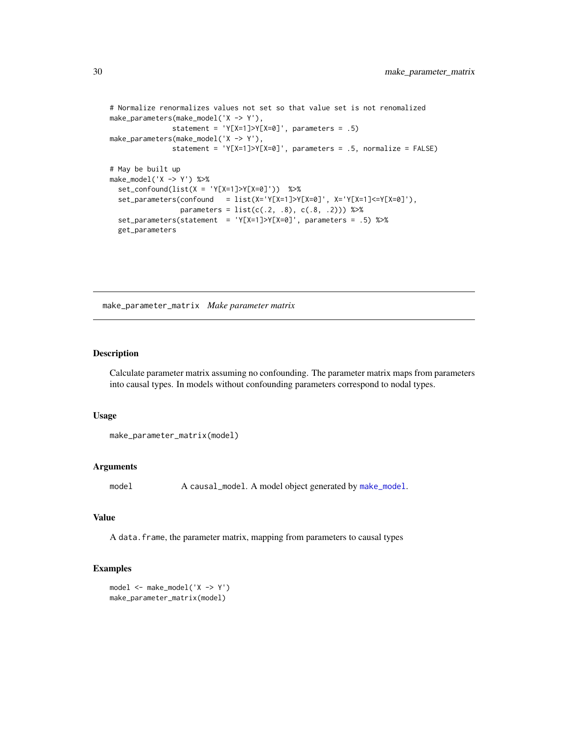```
# Normalize renormalizes values not set so that value set is not renomalized
make_parameters(make_model('X -> Y'),
              statement = 'Y[X=1] > Y[X=0]', parameters = .5)
make_parameters(make_model('X -> Y'),
              statement = 'Y[X=1]>Y[X=0]', parameters = .5, normalize = FALSE)
# May be built up
make_model('X -> Y') %>%
 set_confound(list(X = 'Y[X=1]>Y[X=0]')) %>%
 set\_parameters(confound = list(X='Y[X=1] > Y[X=0]', X='Y[X=1] <=Y[X=0]'),parameters = list(c(.2, .8), c(.8, .2))) %>%
 set_parameters(statement = 'Y[X=1]>Y[X=0]', parameters = .5) %>%
 get_parameters
```
make\_parameter\_matrix *Make parameter matrix*

# Description

Calculate parameter matrix assuming no confounding. The parameter matrix maps from parameters into causal types. In models without confounding parameters correspond to nodal types.

#### Usage

```
make_parameter_matrix(model)
```
#### Arguments

model A causal\_model. A model object generated by [make\\_model](#page-26-1).

#### Value

A data.frame, the parameter matrix, mapping from parameters to causal types

```
model <- make_model('X -> Y')
make_parameter_matrix(model)
```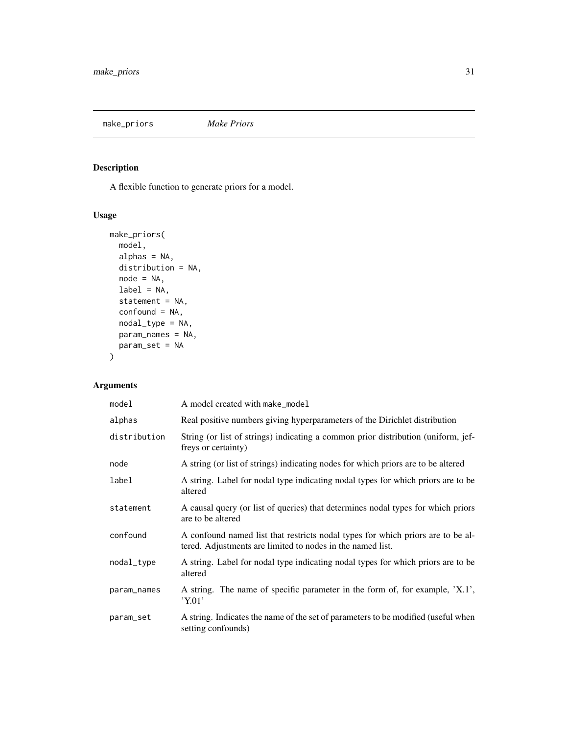<span id="page-30-1"></span><span id="page-30-0"></span>make\_priors *Make Priors*

# Description

A flexible function to generate priors for a model.

# Usage

```
make_priors(
 model,
 alphas = NA,
 distribution = NA,
 node = NA,
 label = NA,
 statement = NA,
 confound = NA,
 nodal_type = NA,
 param_names = NA,
 param_set = NA
\mathcal{L}
```
# Arguments

| model        | A model created with make_model                                                                                                               |
|--------------|-----------------------------------------------------------------------------------------------------------------------------------------------|
| alphas       | Real positive numbers giving hyperparameters of the Dirichlet distribution                                                                    |
| distribution | String (or list of strings) indicating a common prior distribution (uniform, jef-<br>freys or certainty)                                      |
| node         | A string (or list of strings) indicating nodes for which priors are to be altered                                                             |
| label        | A string. Label for nodal type indicating nodal types for which priors are to be<br>altered                                                   |
| statement    | A causal query (or list of queries) that determines nodal types for which priors<br>are to be altered                                         |
| confound     | A confound named list that restricts nodal types for which priors are to be al-<br>tered. Adjustments are limited to nodes in the named list. |
| nodal_type   | A string. Label for nodal type indicating nodal types for which priors are to be<br>altered                                                   |
| param_names  | A string. The name of specific parameter in the form of, for example, 'X.1',<br>'Y.01'                                                        |
| param_set    | A string. Indicates the name of the set of parameters to be modified (useful when<br>setting confounds)                                       |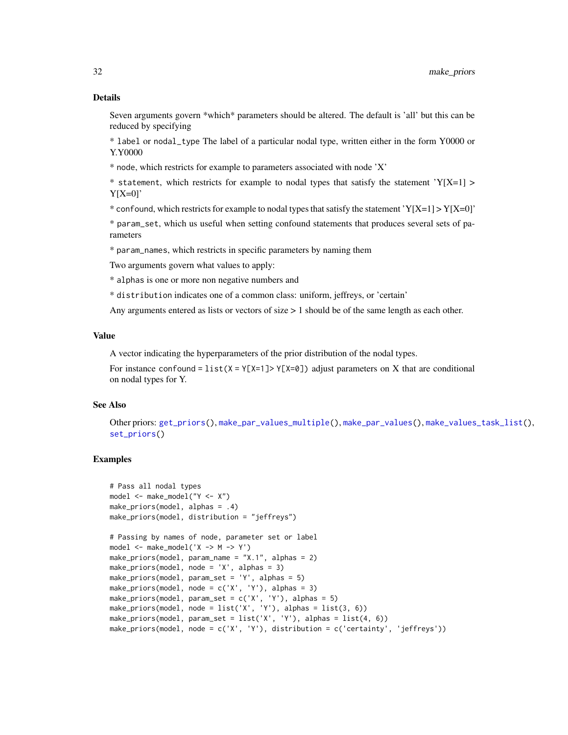<span id="page-31-0"></span>Seven arguments govern \*which\* parameters should be altered. The default is 'all' but this can be reduced by specifying

\* label or nodal\_type The label of a particular nodal type, written either in the form Y0000 or Y.Y0000

\* node, which restricts for example to parameters associated with node 'X'

\* statement, which restricts for example to nodal types that satisfy the statement 'Y[X=1] >  $Y[X=0]'$ 

\* confound, which restricts for example to nodal types that satisfy the statement 'Y[X=1] > Y[X=0]'

\* param\_set, which us useful when setting confound statements that produces several sets of parameters

\* param\_names, which restricts in specific parameters by naming them

Two arguments govern what values to apply:

\* alphas is one or more non negative numbers and

\* distribution indicates one of a common class: uniform, jeffreys, or 'certain'

Any arguments entered as lists or vectors of size > 1 should be of the same length as each other.

### Value

A vector indicating the hyperparameters of the prior distribution of the nodal types.

For instance confound =  $list(X = Y[X=1] > Y[X=0])$  adjust parameters on X that are conditional on nodal types for Y.

#### See Also

Other priors: [get\\_priors\(](#page-15-1)), [make\\_par\\_values\\_multiple\(](#page-0-0)), [make\\_par\\_values\(](#page-0-0)), [make\\_values\\_task\\_list\(](#page-33-1)), [set\\_priors\(](#page-46-1))

```
# Pass all nodal types
model <- make_model("Y <- X")
make_priors(model, alphas = .4)
make_priors(model, distribution = "jeffreys")
# Passing by names of node, parameter set or label
model <- make_model('X -> M -> Y')
make_priors(model, param_name = "X.1", alphas = 2)
make_priors(model, node = 'X', alphas = 3)
make_priors(model, param_set = 'Y', alphas = 5)
make_priors(model, node = c('X', 'Y'), alphas = 3)
make_priors(model, param_set = c('X', 'Y'), alphas = 5)
make_priors(model, node = list('X', 'Y'), alphas = list(3, 6))
make_priors(model, param_set = list('X', 'Y'), alphas = list(4, 6))
make_priors(model, node = c('X', 'Y'), distribution = c('certainty', 'jeffreys'))
```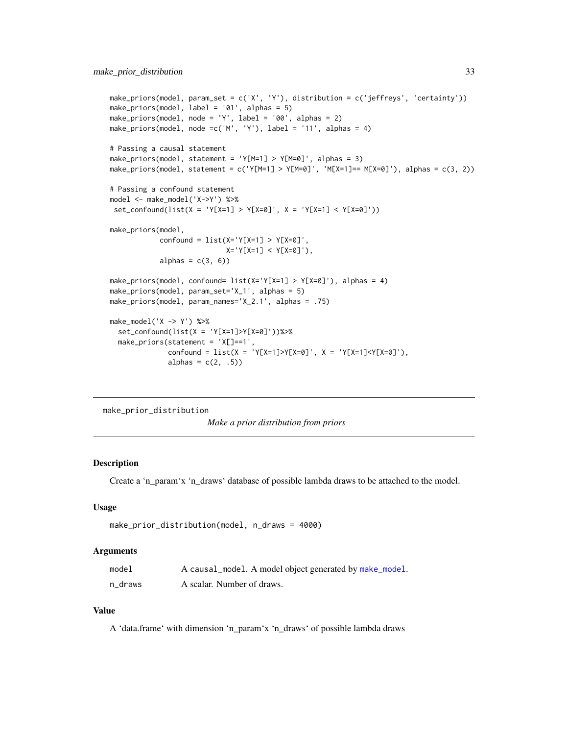```
make_priors(model, param_set = c('X', 'Y'), distribution = c('jeffreys', 'certainty'))
make_priors(model, label = '01', alphas = 5)
make_priors(model, node = 'Y', label = '00', alphas = 2)
make_priors(model, node =c('M', 'Y'), label = '11', alphas = 4)
# Passing a causal statement
make_priors(model, statement = 'Y[M=1] > Y[M=0]', alphas = 3)
make\_priors(model, statement = c('Y[M=1] > Y[M=0]', 'M[X=1] == M[X=0]'), alpha = c(3, 2))# Passing a confound statement
model <- make_model('X->Y') %>%
 set_confound(list(X = 'Y[X=1] > Y[X=0]', X = 'Y[X=1] < Y[X=0]'))
make_priors(model,
            confound = list(X='Y[X=1] > Y[X=0]',
                            X='Y[X=1] < Y[X=0]'),
            alphas = c(3, 6))
make_priors(model, confound= list(X='Y[X=1] > Y[X=0]'), alphas = 4)
make_priors(model, param_set='X_1', alphas = 5)
make_priors(model, param_names='X_2.1', alphas = .75)
make_model('X -> Y') %>%
  set_confound(list(X = 'Y[X=1]>Y[X=0]'))%>%
  make_priors(statement = 'X[]==1',
              confound = list(X = 'Y[X=1]>Y[X=0]', X = 'Y[X=1]<Y[X=0]',
              alphas = c(2, .5)
```

```
make_prior_distribution
```
*Make a prior distribution from priors*

#### Description

Create a 'n\_param'x 'n\_draws' database of possible lambda draws to be attached to the model.

#### Usage

```
make_prior_distribution(model, n_draws = 4000)
```
#### Arguments

| model   | A causal_model. A model object generated by make_model. |
|---------|---------------------------------------------------------|
| n draws | A scalar. Number of draws.                              |

#### Value

A 'data.frame' with dimension 'n\_param'x 'n\_draws' of possible lambda draws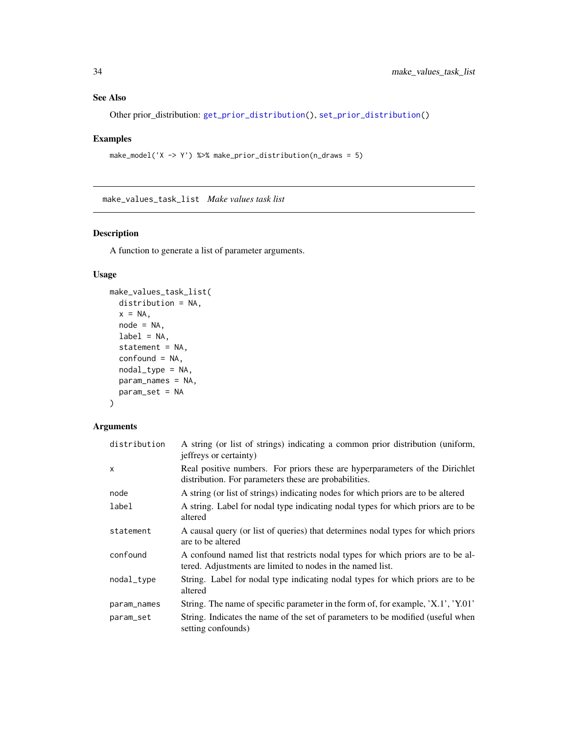# <span id="page-33-0"></span>See Also

Other prior\_distribution: [get\\_prior\\_distribution\(](#page-16-1)), [set\\_prior\\_distribution\(](#page-50-1))

# Examples

```
make_model('X -> Y') %>% make_prior_distribution(n_draws = 5)
```
<span id="page-33-1"></span>make\_values\_task\_list *Make values task list*

# Description

A function to generate a list of parameter arguments.

# Usage

```
make_values_task_list(
  distribution = NA,
  x = NA,
  node = NA,
  label = NA,
  statement = NA,
  confound = NA,
  nodal_type = NA,
  param_names = NA,
  param_set = NA
\mathcal{L}
```
# Arguments

| distribution | A string (or list of strings) indicating a common prior distribution (uniform,<br>jeffreys or certainty)                                      |
|--------------|-----------------------------------------------------------------------------------------------------------------------------------------------|
| X            | Real positive numbers. For priors these are hyperparameters of the Dirichlet<br>distribution. For parameters these are probabilities.         |
| node         | A string (or list of strings) indicating nodes for which priors are to be altered                                                             |
| label        | A string. Label for nodal type indicating nodal types for which priors are to be<br>altered                                                   |
| statement    | A causal query (or list of queries) that determines nodal types for which priors<br>are to be altered                                         |
| confound     | A confound named list that restricts nodal types for which priors are to be al-<br>tered. Adjustments are limited to nodes in the named list. |
| nodal_type   | String. Label for nodal type indicating nodal types for which priors are to be<br>altered                                                     |
| param_names  | String. The name of specific parameter in the form of, for example, 'X.1', 'Y.01'                                                             |
| param_set    | String. Indicates the name of the set of parameters to be modified (useful when<br>setting confounds)                                         |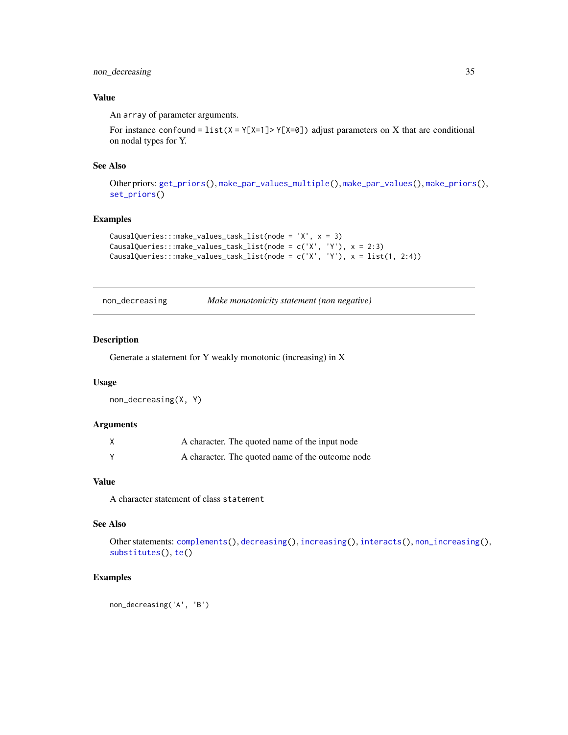# <span id="page-34-0"></span>non\_decreasing 35

# Value

An array of parameter arguments.

For instance confound =  $list(X = Y[X=1] > Y[X=0])$  adjust parameters on X that are conditional on nodal types for Y.

# See Also

Other priors: [get\\_priors\(](#page-15-1)), [make\\_par\\_values\\_multiple\(](#page-0-0)), [make\\_par\\_values\(](#page-0-0)), [make\\_priors\(](#page-30-1)), [set\\_priors\(](#page-46-1))

# Examples

```
CausalQueries:::make_values_task_list(node = 'X', x = 3)
CausalQueries:::make_values_task_list(node = c('X', 'Y'), x = 2:3)
CausalQueries:::make_values_task_list(node = c('X', 'Y'), x = list(1, 2:4))
```
<span id="page-34-1"></span>

|                | Make mono |  |
|----------------|-----------|--|
| non decreasing |           |  |

# ng *Make monotonicity statement (non negative)*

#### Description

Generate a statement for Y weakly monotonic (increasing) in X

# Usage

non\_decreasing(X, Y)

# Arguments

| A character. The quoted name of the input node   |
|--------------------------------------------------|
| A character. The quoted name of the outcome node |

# Value

A character statement of class statement

#### See Also

Other statements: [complements\(](#page-5-1)), [decreasing\(](#page-6-1)), [increasing\(](#page-20-1)), [interacts\(](#page-20-2)), [non\\_increasing\(](#page-35-1)), [substitutes\(](#page-54-1)), [te\(](#page-55-1))

## Examples

non\_decreasing('A', 'B')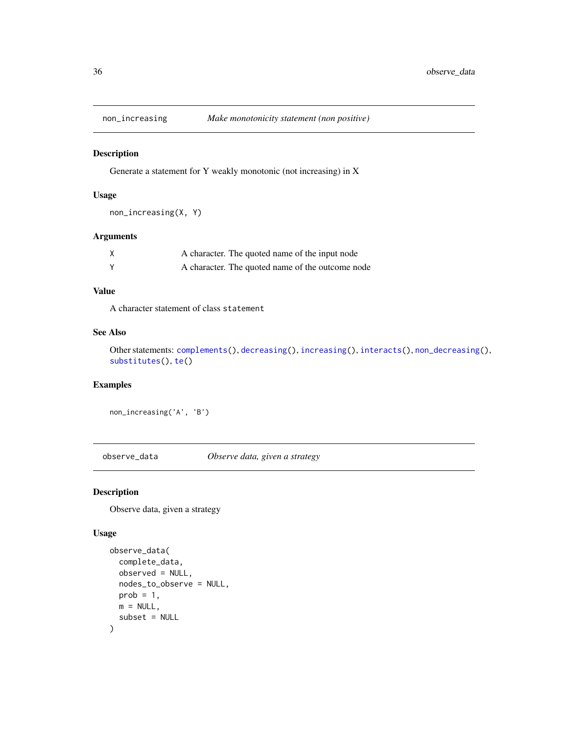<span id="page-35-1"></span><span id="page-35-0"></span>

Generate a statement for Y weakly monotonic (not increasing) in X

#### Usage

```
non_increasing(X, Y)
```
# Arguments

| A character. The quoted name of the input node   |
|--------------------------------------------------|
| A character. The quoted name of the outcome node |

# Value

A character statement of class statement

# See Also

Other statements: [complements\(](#page-5-1)), [decreasing\(](#page-6-1)), [increasing\(](#page-20-1)), [interacts\(](#page-20-2)), [non\\_decreasing\(](#page-34-1)), [substitutes\(](#page-54-1)), [te\(](#page-55-1))

# Examples

non\_increasing('A', 'B')

observe\_data *Observe data, given a strategy*

#### Description

Observe data, given a strategy

# Usage

```
observe_data(
  complete_data,
  observed = NULL,
  nodes_to_observe = NULL,
  prob = 1,
  m = NULL,subset = NULL
\mathcal{E}
```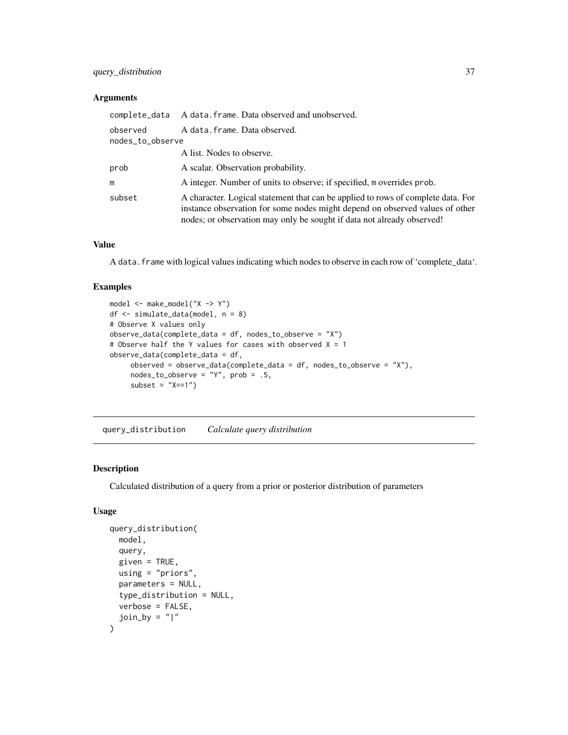# <span id="page-36-0"></span>query\_distribution 37

# Arguments

|                              | complete_data A data.frame. Data observed and unobserved.                                                                                                                                                                                  |
|------------------------------|--------------------------------------------------------------------------------------------------------------------------------------------------------------------------------------------------------------------------------------------|
| observed<br>nodes_to_observe | A data.frame.Data observed.                                                                                                                                                                                                                |
|                              | A list. Nodes to observe.                                                                                                                                                                                                                  |
| prob                         | A scalar. Observation probability.                                                                                                                                                                                                         |
| m                            | A integer. Number of units to observe; if specified, m overrides prob.                                                                                                                                                                     |
| subset                       | A character. Logical statement that can be applied to rows of complete data. For<br>instance observation for some nodes might depend on observed values of other<br>nodes; or observation may only be sought if data not already observed! |

# Value

A data.frame with logical values indicating which nodes to observe in each row of 'complete\_data'.

# Examples

```
model <- make_model("X -> Y")
df <- simulate_data(model, n = 8)
# Observe X values only
observe_data(complete_data = df, nodes_to_observe = "X")
# Observe half the Y values for cases with observed X = 1observe_data(complete_data = df,
    observed = observe_data(complete_data = df, nodes_to_observable = "X"),
    nodes_to_observe = "Y", prob = .5,subset = "X==1"
```
query\_distribution *Calculate query distribution*

# Description

Calculated distribution of a query from a prior or posterior distribution of parameters

# Usage

```
query_distribution(
 model,
 query,
 given = TRUE,
 using = "priors",
 parameters = NULL,
  type_distribution = NULL,
 verbose = FALSE,
  join_by = "|"\mathcal{E}
```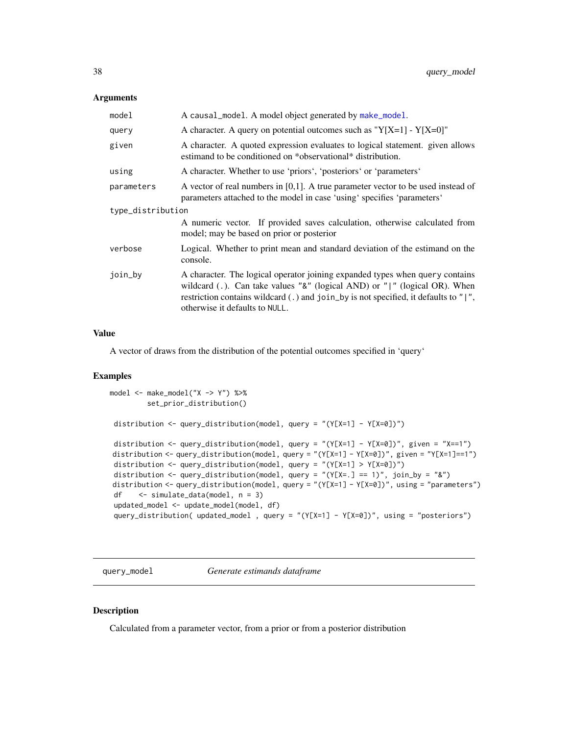#### <span id="page-37-0"></span>**Arguments**

| model             | A causal_model. A model object generated by make_model.                                                                                                                                                                                                                                       |  |
|-------------------|-----------------------------------------------------------------------------------------------------------------------------------------------------------------------------------------------------------------------------------------------------------------------------------------------|--|
| query             | A character. A query on potential outcomes such as " $Y[X=1] - Y[X=0]$ "                                                                                                                                                                                                                      |  |
| given             | A character. A quoted expression evaluates to logical statement. given allows<br>estimand to be conditioned on *observational* distribution.                                                                                                                                                  |  |
| using             | A character. Whether to use 'priors', 'posteriors' or 'parameters'                                                                                                                                                                                                                            |  |
| parameters        | A vector of real numbers in $[0,1]$ . A true parameter vector to be used instead of<br>parameters attached to the model in case 'using' specifies 'parameters'                                                                                                                                |  |
| type_distribution |                                                                                                                                                                                                                                                                                               |  |
|                   | A numeric vector. If provided saves calculation, otherwise calculated from<br>model; may be based on prior or posterior                                                                                                                                                                       |  |
| verbose           | Logical. Whether to print mean and standard deviation of the estimand on the<br>console.                                                                                                                                                                                                      |  |
| join_by           | A character. The logical operator joining expanded types when query contains<br>wildcard (.). Can take values " $\&$ " (logical AND) or " " (logical OR). When<br>restriction contains wildcard $(.)$ and join_by is not specified, it defaults to " $ $ ",<br>otherwise it defaults to NULL. |  |

#### Value

A vector of draws from the distribution of the potential outcomes specified in 'query'

#### Examples

```
model <- make_model("X -> Y") %>%
        set_prior_distribution()
distribution <- query_distribution(model, query = "(Y[X=1] - Y[X=0])")
distribution <- query_distribution(model, query = "(Y[X=1] - Y[X=0])", given = "X==1")
distribution <- query_distribution(model, query = "(Y[X=1] - Y[X=0])", given = "Y[X=1]==1")
distribution <- query_distribution(model, query = "(Y[X=1] > Y[X=0])")
 distribution <- query_distribution(model, query = "(Y[X=.] == 1)", join_by = "&")
distribution <- query_distribution(model, query = "(Y[X=1] - Y[X=0])", using = "parameters")
df <- simulate_data(model, n = 3)
updated_model <- update_model(model, df)
query_distribution( updated_model , query = "(Y[X=1] - Y[X=0])", using = "posteriors")
```
query\_model *Generate estimands dataframe*

# Description

Calculated from a parameter vector, from a prior or from a posterior distribution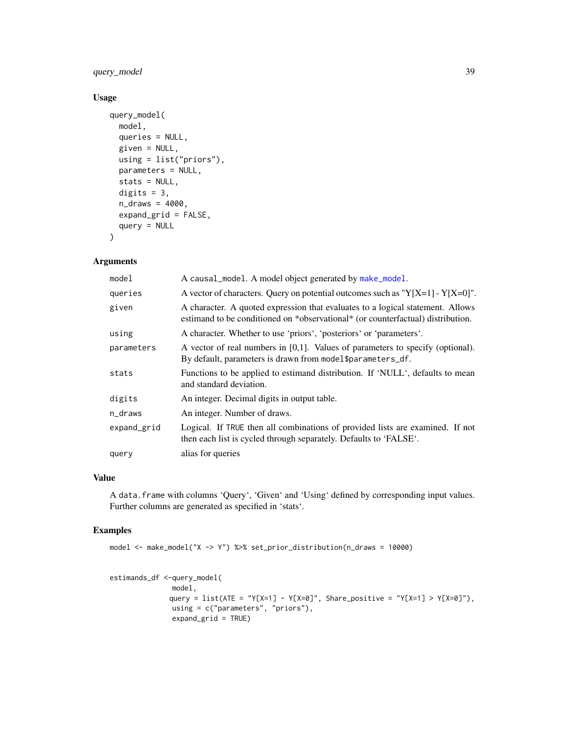# query\_model 39

# Usage

```
query_model(
 model,
  queries = NULL,
 given = NULL,
 using = list("priors"),
 parameters = NULL,
  stats = NULL,
 digits = 3,
 n_draws = 4000,
  expand_grid = FALSE,
  query = NULL
\mathcal{L}
```
# Arguments

| model       | A causal_model. A model object generated by make_model.                                                                                                           |
|-------------|-------------------------------------------------------------------------------------------------------------------------------------------------------------------|
| queries     | A vector of characters. Query on potential outcomes such as " $Y[X=1] - Y[X=0]$ ".                                                                                |
| given       | A character. A quoted expression that evaluates to a logical statement. Allows<br>estimand to be conditioned on *observational* (or counterfactual) distribution. |
| using       | A character. Whether to use 'priors', 'posteriors' or 'parameters'.                                                                                               |
| parameters  | A vector of real numbers in $[0,1]$ . Values of parameters to specify (optional).<br>By default, parameters is drawn from model\$parameters_df.                   |
| stats       | Functions to be applied to estimand distribution. If 'NULL', defaults to mean<br>and standard deviation.                                                          |
| digits      | An integer. Decimal digits in output table.                                                                                                                       |
| n_draws     | An integer. Number of draws.                                                                                                                                      |
| expand_grid | Logical. If TRUE then all combinations of provided lists are examined. If not<br>then each list is cycled through separately. Defaults to 'FALSE'.                |
| query       | alias for queries                                                                                                                                                 |

# Value

A data.frame with columns 'Query', 'Given' and 'Using' defined by corresponding input values. Further columns are generated as specified in 'stats'.

```
model <- make_model("X -> Y") %>% set_prior_distribution(n_draws = 10000)
```

```
estimands_df <-query_model(
              model,
              query = list(ATE = "Y[X=1] - Y[X=0]", Share_positive = "Y[X=1] > Y[X=0]"),
              using = c("parameters", "priors"),
              expand_grid = TRUE)
```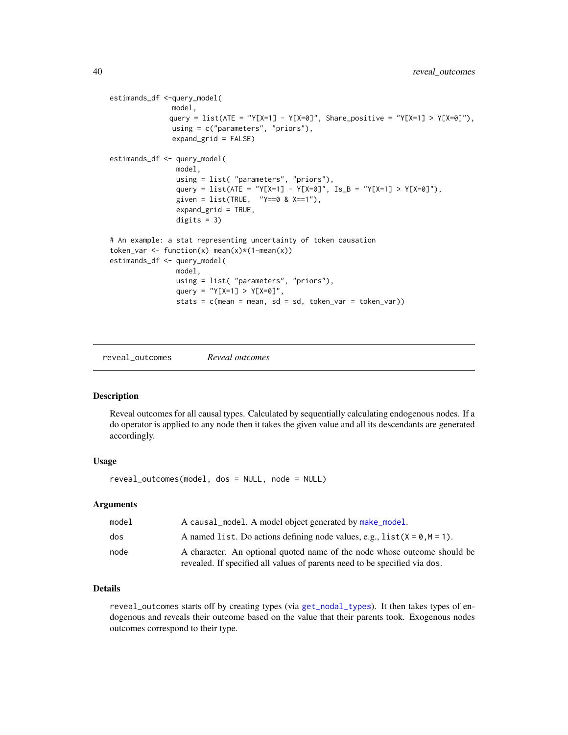```
estimands_df <-query_model(
              model,
              query = list(ATE = "Y[X=1] - Y[X=0]", Share_positive = "Y[X=1] > Y[X=0]"),
              using = c("parameters", "priors"),
              expand_grid = FALSE)
estimands_df <- query_model(
               model,
               using = list( "parameters", "priors"),
                query = list(ATE = "Y[X=1] - Y[X=0]", Is_B = "Y[X=1] > Y[X=0]"),
                given = list(TRUE, "Y==0 8 X==1"),
                expand_grid = TRUE,
                digits = 3)
# An example: a stat representing uncertainty of token causation
token_var <- function(x) mean(x)*(1-mean(x))
estimands_df <- query_model(
               model,
               using = list( "parameters", "priors"),
                query = "Y[X=1] > Y[X=0]'",
                stats = c(mean = mean, sd = sd, token_var = token_var))
```
<span id="page-39-1"></span>reveal\_outcomes *Reveal outcomes*

#### Description

Reveal outcomes for all causal types. Calculated by sequentially calculating endogenous nodes. If a do operator is applied to any node then it takes the given value and all its descendants are generated accordingly.

#### Usage

reveal\_outcomes(model, dos = NULL, node = NULL)

#### Arguments

| model | A causal_model. A model object generated by make_model.                                                                                                |
|-------|--------------------------------------------------------------------------------------------------------------------------------------------------------|
| dos   | A named list. Do actions defining node values, e.g., $list(X = 0, M = 1)$ .                                                                            |
| node  | A character. An optional quoted name of the node whose outcome should be<br>revealed. If specified all values of parents need to be specified via dos. |

# Details

reveal\_outcomes starts off by creating types (via [get\\_nodal\\_types](#page-11-1)). It then takes types of endogenous and reveals their outcome based on the value that their parents took. Exogenous nodes outcomes correspond to their type.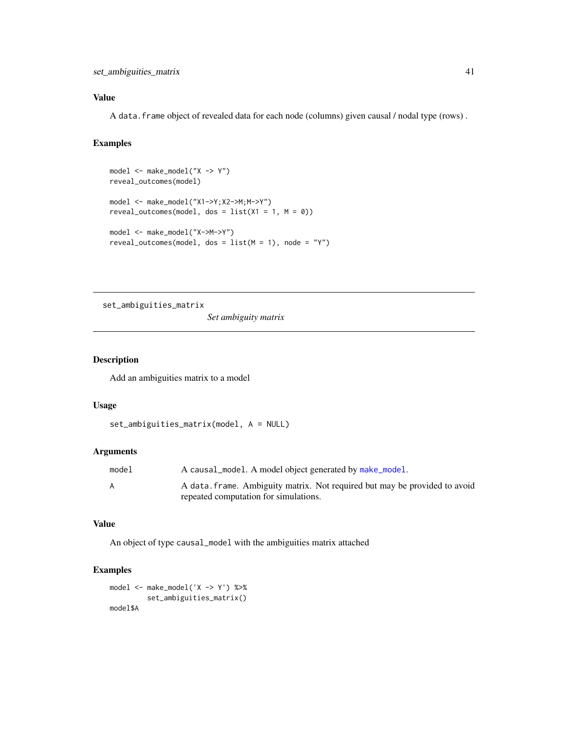# <span id="page-40-0"></span>Value

A data.frame object of revealed data for each node (columns) given causal / nodal type (rows) .

# Examples

```
model <- make_model("X -> Y")
reveal_outcomes(model)
model <- make_model("X1->Y;X2->M;M->Y")
reveal_outcomes(model, dos = list(X1 = 1, M = 0))model <- make_model("X->M->Y")
reveal_outcomes(model, dos = list(M = 1), node = "Y")
```
set\_ambiguities\_matrix

*Set ambiguity matrix*

# Description

Add an ambiguities matrix to a model

#### Usage

```
set_ambiguities_matrix(model, A = NULL)
```
# Arguments

| model | A causal_model. A model object generated by make_model.                    |
|-------|----------------------------------------------------------------------------|
| A     | A data, frame. Ambiguity matrix. Not required but may be provided to avoid |
|       | repeated computation for simulations.                                      |

#### Value

An object of type causal\_model with the ambiguities matrix attached

# Examples

model <- make\_model('X -> Y') %>% set\_ambiguities\_matrix() model\$A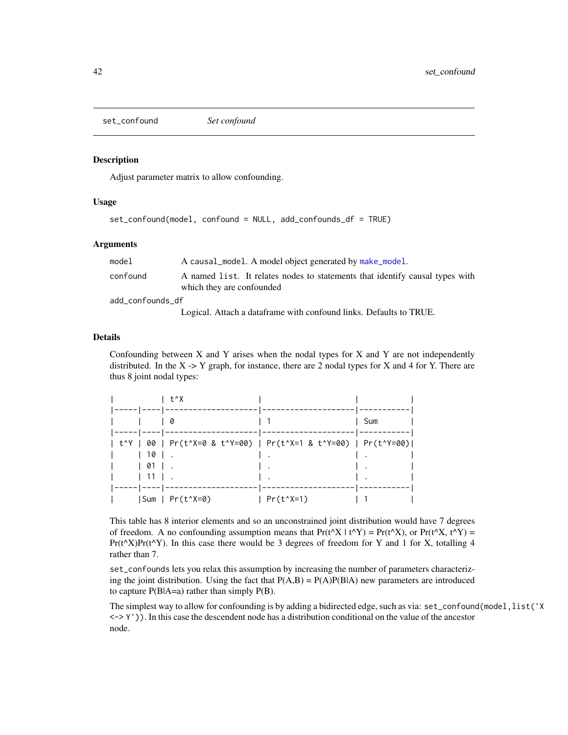<span id="page-41-0"></span>set\_confound *Set confound*

#### Description

Adjust parameter matrix to allow confounding.

#### Usage

```
set_confound(model, confound = NULL, add_confounds_df = TRUE)
```
# Arguments

| model            | A causal_model. A model object generated by make_model.                      |
|------------------|------------------------------------------------------------------------------|
| confound         | A named list. It relates nodes to statements that identify causal types with |
|                  | which they are confounded                                                    |
| add confounds df |                                                                              |
|                  |                                                                              |

Logical. Attach a dataframe with confound links. Defaults to TRUE.

#### Details

Confounding between  $X$  and  $Y$  arises when the nodal types for  $X$  and  $Y$  are not independently distributed. In the  $X \rightarrow Y$  graph, for instance, there are 2 nodal types for X and 4 for Y. There are thus 8 joint nodal types:

|                                                                                                                         |         | l t^X                |                                                                 |     |
|-------------------------------------------------------------------------------------------------------------------------|---------|----------------------|-----------------------------------------------------------------|-----|
|                                                                                                                         |         | 0                    |                                                                 | Sum |
| $ ------  ------  ------$                                                                                               |         |                      | t^Y   00   Pr(t^X=0 & t^Y=00)   Pr(t^X=1 & t^Y=00)   Pr(t^Y=00) |     |
|                                                                                                                         | $110$ . |                      |                                                                 |     |
| $\begin{array}{ c c c c c c } \hline \ \text{I} & \text{01} & \text{I} & \text{.} \ \hline \end{array}$<br>$\mathbf{L}$ |         |                      |                                                                 |     |
|                                                                                                                         | 111.    |                      |                                                                 |     |
|                                                                                                                         |         | $ Sum   Pr(t^X = 0)$ | $Pr(t^{\wedge}X=1)$                                             |     |

This table has 8 interior elements and so an unconstrained joint distribution would have 7 degrees of freedom. A no confounding assumption means that  $Pr(t^{\wedge}X | t^{\wedge}Y) = Pr(t^{\wedge}X)$ , or  $Pr(t^{\wedge}X, t^{\wedge}Y) =$  $Pr(t^{\Lambda}X)Pr(t^{\Lambda}Y)$ . In this case there would be 3 degrees of freedom for Y and 1 for X, totalling 4 rather than 7.

set\_confounds lets you relax this assumption by increasing the number of parameters characterizing the joint distribution. Using the fact that  $P(A,B) = P(A)P(B|A)$  new parameters are introduced to capture P(B|A=a) rather than simply P(B).

The simplest way to allow for confounding is by adding a bidirected edge, such as via: set\_confound(model, list('X  $\langle \rangle$  > Y')). In this case the descendent node has a distribution conditional on the value of the ancestor node.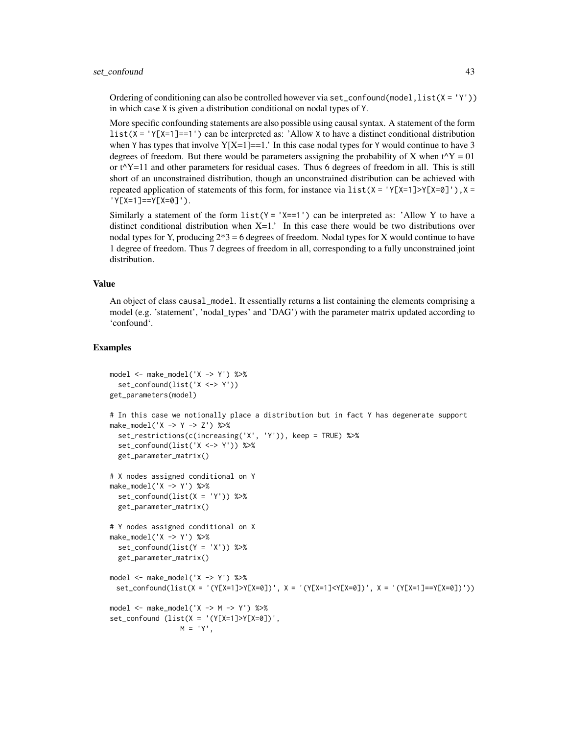#### set\_confound 43

Ordering of conditioning can also be controlled however via set\_confound(model,  $list(X = 'Y')$ ) in which case X is given a distribution conditional on nodal types of Y.

More specific confounding statements are also possible using causal syntax. A statement of the form  $list(X = 'Y[X=1]=-1')$  can be interpreted as: 'Allow X to have a distinct conditional distribution when Y has types that involve  $Y[X=1]=1$ . In this case nodal types for Y would continue to have 3 degrees of freedom. But there would be parameters assigning the probability of X when  $t^{\wedge}Y = 01$ or t^Y=11 and other parameters for residual cases. Thus 6 degrees of freedom in all. This is still short of an unconstrained distribution, though an unconstrained distribution can be achieved with repeated application of statements of this form, for instance via  $list(X = 'Y[X=1] > Y[X=0]')$ ,  $X =$ 'Y[X=1]==Y[X=0]').

Similarly a statement of the form  $list(Y = 'X == 1')$  can be interpreted as: 'Allow Y to have a distinct conditional distribution when  $X=1$ .' In this case there would be two distributions over nodal types for Y, producing  $2*3 = 6$  degrees of freedom. Nodal types for X would continue to have 1 degree of freedom. Thus 7 degrees of freedom in all, corresponding to a fully unconstrained joint distribution.

#### Value

An object of class causal\_model. It essentially returns a list containing the elements comprising a model (e.g. 'statement', 'nodal\_types' and 'DAG') with the parameter matrix updated according to 'confound'.

```
model <- make_model('X -> Y') %>%
 set_confound(list('X <-> Y'))
get_parameters(model)
# In this case we notionally place a distribution but in fact Y has degenerate support
make_model('X -> Y -> Z') %>%
 set_restrictions(c(increasing('X', 'Y')), keep = TRUE) %>%
  set_confound(list('X <-> Y')) %>%
 get_parameter_matrix()
# X nodes assigned conditional on Y
make_model('X -> Y') %>%
 set_confound(list(X = 'Y')) %>%
 get_parameter_matrix()
# Y nodes assigned conditional on X
make_model('X -> Y') %>%
 set_confound(list(Y = 'X')) %>%
 get_parameter_matrix()
model <- make_model('X -> Y') %>%
 set_confound(list(X = '(Y[X=1]>Y[X=0])', X = '(Y[X=1]<Y[X=0])', X = '(Y[X=1]==Y[X=0])'))
model <- make_model('X -> M -> Y') %>%
set_{confound} (list(X = '(Y[X=1]>Y[X=0])',
                M = 'Y',
```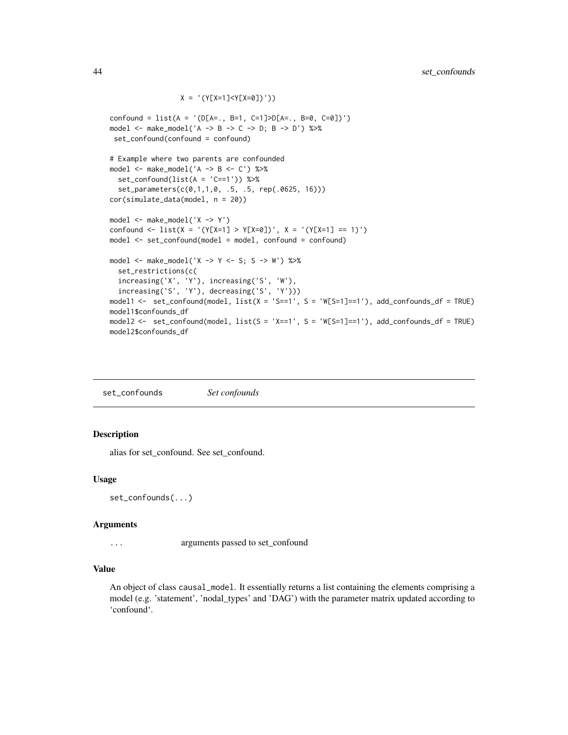```
X = ' (Y[X=1] < Y[X=0])')confound = list(A = '(D[A=., B=1, C=1]>D[A=., B=0, C=0])')
model <- make_model('A -> B -> C -> D; B -> D') %>%
 set_confound(confound = confound)
# Example where two parents are confounded
model <- make_model('A -> B <- C') %>%
  set_confound(list(A = 'C==1')) %>%
  set_parameters(c(0,1,1,0, .5, .5, rep(.0625, 16)))
cor(simulate_data(model, n = 20))
model <- make_model('X -> Y')
confound <- list(X = '(Y[X=1] > Y[X=0])', X = '(Y[X=1] == 1)')
model <- set_confound(model = model, confound = confound)
model <- make_model('X -> Y <- S; S -> W') %>%
  set_restrictions(c(
  increasing('X', 'Y'), increasing('S', 'W'),
  increasing('S', 'Y'), decreasing('S', 'Y')))
model1 <- set_confound(model, list(X = 'S==1', S = 'W[S=1]==1'), add_confounds_df = TRUE)
model1$confounds_df
model2 <- set_confound(model, list(S = 'X==1', S = 'W[S=1]==1'), add_confounds_df = TRUE)
model2$confounds_df
```
set\_confounds *Set confounds*

# Description

alias for set\_confound. See set\_confound.

#### Usage

set\_confounds(...)

#### Arguments

... arguments passed to set\_confound

# Value

An object of class causal\_model. It essentially returns a list containing the elements comprising a model (e.g. 'statement', 'nodal\_types' and 'DAG') with the parameter matrix updated according to 'confound'.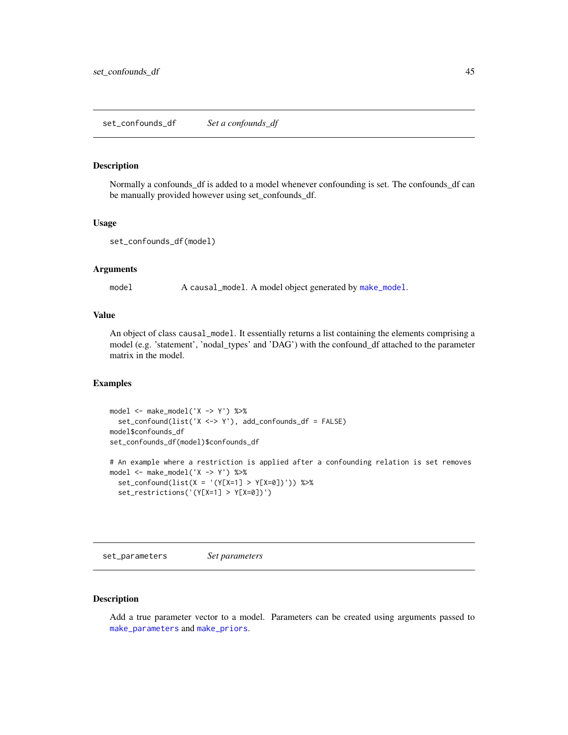<span id="page-44-0"></span>set\_confounds\_df *Set a confounds\_df*

#### Description

Normally a confounds\_df is added to a model whenever confounding is set. The confounds\_df can be manually provided however using set\_confounds\_df.

#### Usage

```
set_confounds_df(model)
```
#### Arguments

model A causal\_model. A model object generated by [make\\_model](#page-26-1).

# Value

An object of class causal\_model. It essentially returns a list containing the elements comprising a model (e.g. 'statement', 'nodal\_types' and 'DAG') with the confound\_df attached to the parameter matrix in the model.

# Examples

```
model <- make_model('X -> Y') %>%
  set_confound(list('X <-> Y'), add_confounds_df = FALSE)
model$confounds_df
set_confounds_df(model)$confounds_df
# An example where a restriction is applied after a confounding relation is set removes
model <- make_model('X -> Y') %>%
  set\_confound(list(X = '(Y[X=1] > Y[X=0])')) %>%
  set_restrictions('(Y[X=1] > Y[X=0])')
```
<span id="page-44-1"></span>set\_parameters *Set parameters*

#### Description

Add a true parameter vector to a model. Parameters can be created using arguments passed to [make\\_parameters](#page-27-1) and [make\\_priors](#page-30-1).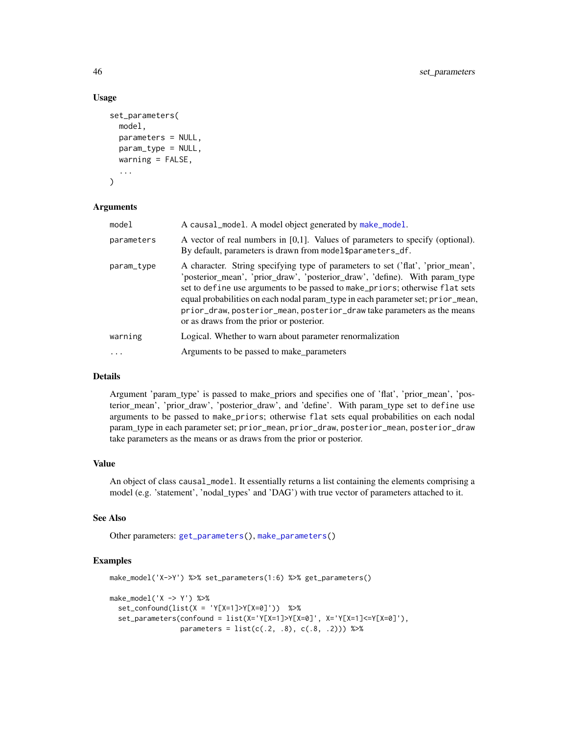#### Usage

```
set_parameters(
 model,
 parameters = NULL,
 param_type = NULL,
 warning = FALSE,
  ...
)
```
# Arguments

| model      | A causal_model. A model object generated by make_model.                                                                                                                                                                                                                                                                                                                                                                                                  |
|------------|----------------------------------------------------------------------------------------------------------------------------------------------------------------------------------------------------------------------------------------------------------------------------------------------------------------------------------------------------------------------------------------------------------------------------------------------------------|
| parameters | A vector of real numbers in $[0,1]$ . Values of parameters to specify (optional).<br>By default, parameters is drawn from model\$parameters_df.                                                                                                                                                                                                                                                                                                          |
| param_type | A character. String specifying type of parameters to set ('flat', 'prior_mean',<br>'posterior_mean', 'prior_draw', 'posterior_draw', 'define). With param_type<br>set to define use arguments to be passed to make_priors; otherwise flat sets<br>equal probabilities on each nodal param_type in each parameter set; prior_mean,<br>prior_draw, posterior_mean, posterior_draw take parameters as the means<br>or as draws from the prior or posterior. |
| warning    | Logical. Whether to warn about parameter renormalization                                                                                                                                                                                                                                                                                                                                                                                                 |
|            | Arguments to be passed to make_parameters                                                                                                                                                                                                                                                                                                                                                                                                                |

#### Details

Argument 'param\_type' is passed to make\_priors and specifies one of 'flat', 'prior\_mean', 'posterior\_mean', 'prior\_draw', 'posterior\_draw', and 'define'. With param\_type set to define use arguments to be passed to make\_priors; otherwise flat sets equal probabilities on each nodal param\_type in each parameter set; prior\_mean, prior\_draw, posterior\_mean, posterior\_draw take parameters as the means or as draws from the prior or posterior.

# Value

An object of class causal\_model. It essentially returns a list containing the elements comprising a model (e.g. 'statement', 'nodal\_types' and 'DAG') with true vector of parameters attached to it.

# See Also

Other parameters: [get\\_parameters\(](#page-12-1)), [make\\_parameters\(](#page-27-1))

```
make_model('X->Y') %>% set_parameters(1:6) %>% get_parameters()
make_model('X -> Y') %>%
  set_{confound(list(X = 'Y[X=1] > Y[X=0]')) %>%
  set_parameters(confound = list(X='Y[X=1]>Y[X=0]', X='Y[X=1]<=Y[X=0]'),
                 parameters = list(c(.2, .8), c(.8, .2))) %>%
```
<span id="page-45-0"></span>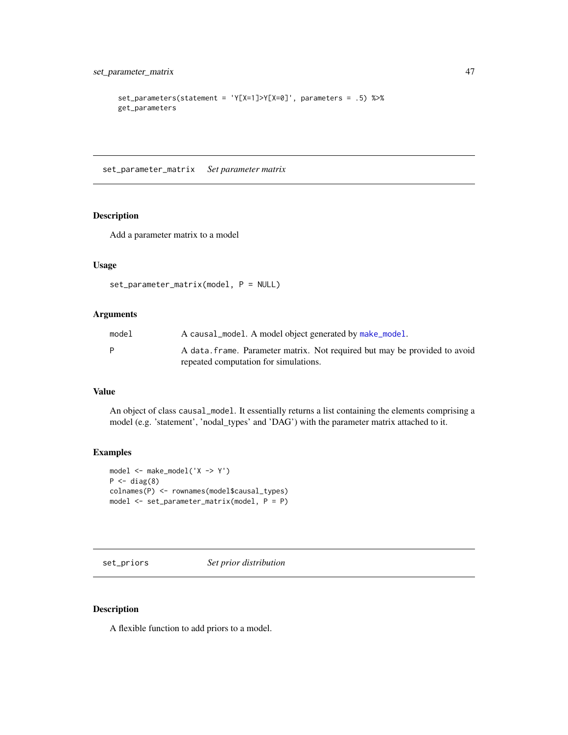```
set_parameters(statement = 'Y[X=1]>Y[X=0]', parameters = .5) %>%
get_parameters
```
set\_parameter\_matrix *Set parameter matrix*

# Description

Add a parameter matrix to a model

# Usage

```
set_parameter_matrix(model, P = NULL)
```
# Arguments

| model | A causal_model. A model object generated by make_model.                                                             |
|-------|---------------------------------------------------------------------------------------------------------------------|
| P     | A data, frame. Parameter matrix. Not required but may be provided to avoid<br>repeated computation for simulations. |

#### Value

An object of class causal\_model. It essentially returns a list containing the elements comprising a model (e.g. 'statement', 'nodal\_types' and 'DAG') with the parameter matrix attached to it.

#### Examples

```
model <- make_model('X -> Y')
P \leftarrow diag(8)colnames(P) <- rownames(model$causal_types)
model <- set_parameter_matrix(model, P = P)
```
<span id="page-46-1"></span>set\_priors *Set prior distribution*

#### Description

A flexible function to add priors to a model.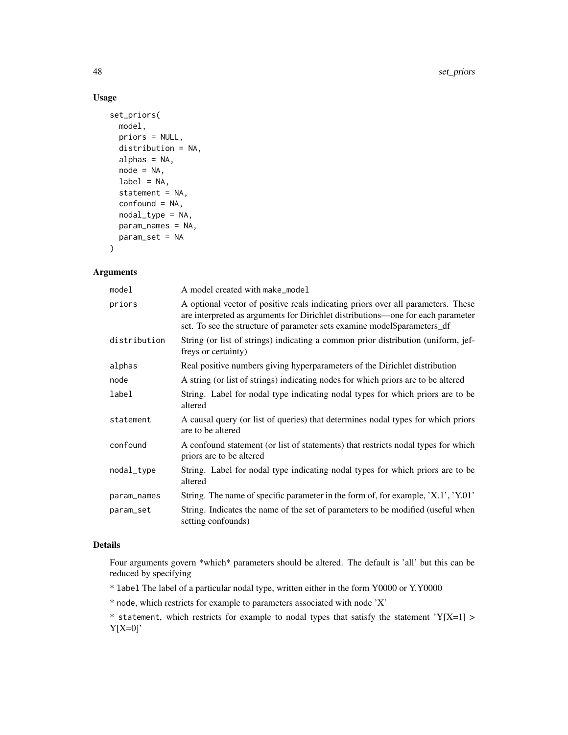# Usage

```
set_priors(
 model,
 priors = NULL,
  distribution = NA,
  alphas = NA,
 node = NA,
  label = NA,
  statement = NA,
  confound = NA,
  nodal_type = NA,
 param_names = NA,
 param_set = NA
\mathcal{L}
```
#### Arguments

| model        | A model created with make_model                                                                                                                                                                                                                 |
|--------------|-------------------------------------------------------------------------------------------------------------------------------------------------------------------------------------------------------------------------------------------------|
| priors       | A optional vector of positive reals indicating priors over all parameters. These<br>are interpreted as arguments for Dirichlet distributions—one for each parameter<br>set. To see the structure of parameter sets examine model\$parameters_df |
| distribution | String (or list of strings) indicating a common prior distribution (uniform, jef-<br>freys or certainty)                                                                                                                                        |
| alphas       | Real positive numbers giving hyperparameters of the Dirichlet distribution                                                                                                                                                                      |
| node         | A string (or list of strings) indicating nodes for which priors are to be altered                                                                                                                                                               |
| label        | String. Label for nodal type indicating nodal types for which priors are to be<br>altered                                                                                                                                                       |
| statement    | A causal query (or list of queries) that determines nodal types for which priors<br>are to be altered                                                                                                                                           |
| confound     | A confound statement (or list of statements) that restricts nodal types for which<br>priors are to be altered                                                                                                                                   |
| nodal_type   | String. Label for nodal type indicating nodal types for which priors are to be<br>altered                                                                                                                                                       |
| param_names  | String. The name of specific parameter in the form of, for example, 'X.1', 'Y.01'                                                                                                                                                               |
| param_set    | String. Indicates the name of the set of parameters to be modified (useful when<br>setting confounds)                                                                                                                                           |

# Details

Four arguments govern \*which\* parameters should be altered. The default is 'all' but this can be reduced by specifying

- \* label The label of a particular nodal type, written either in the form Y0000 or Y.Y0000
- \* node, which restricts for example to parameters associated with node 'X'

\* statement, which restricts for example to nodal types that satisfy the statement 'Y[X=1] >  $Y[X=0]'$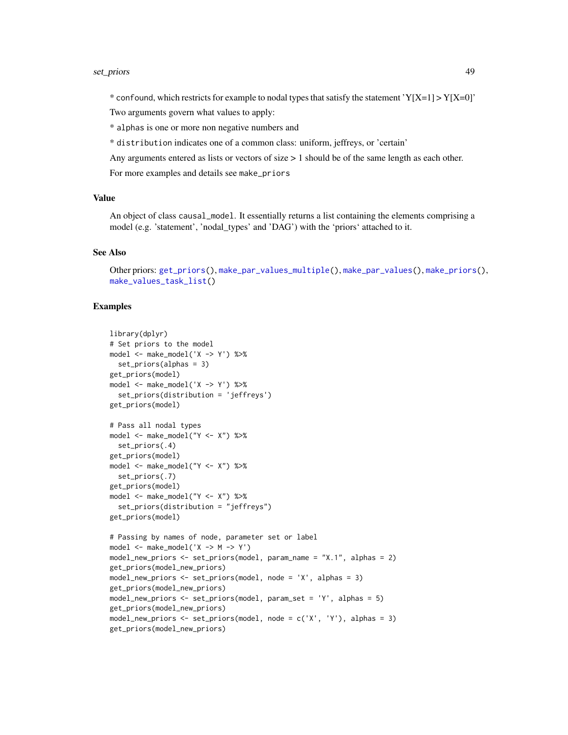#### <span id="page-48-0"></span>set\_priors 49

\* confound, which restricts for example to nodal types that satisfy the statement 'Y[X=1] > Y[X=0]'

Two arguments govern what values to apply:

\* alphas is one or more non negative numbers and

\* distribution indicates one of a common class: uniform, jeffreys, or 'certain'

Any arguments entered as lists or vectors of size > 1 should be of the same length as each other.

For more examples and details see make\_priors

#### Value

An object of class causal\_model. It essentially returns a list containing the elements comprising a model (e.g. 'statement', 'nodal\_types' and 'DAG') with the 'priors' attached to it.

#### See Also

Other priors: [get\\_priors\(](#page-15-1)), [make\\_par\\_values\\_multiple\(](#page-0-0)), [make\\_par\\_values\(](#page-0-0)), [make\\_priors\(](#page-30-1)), [make\\_values\\_task\\_list\(](#page-33-1))

```
library(dplyr)
# Set priors to the model
model <- make_model('X -> Y') %>%
 set_priors(alphas = 3)
get_priors(model)
model <- make_model('X -> Y') %>%
  set_priors(distribution = 'jeffreys')
get_priors(model)
# Pass all nodal types
model <- make_model("Y <- X") %>%
  set_priors(.4)
get_priors(model)
model <- make_model("Y <- X") %>%
  set_priors(.7)
get_priors(model)
model <- make_model("Y <- X") %>%
  set_priors(distribution = "jeffreys")
get_priors(model)
# Passing by names of node, parameter set or label
model \leq - make_model('X \Rightarrow M \Rightarrow Y')model_new_priors <- set_priors(model, param_name = "X.1", alphas = 2)
get_priors(model_new_priors)
model_new_priors <- set_priors(model, node = 'X', alphas = 3)
get_priors(model_new_priors)
model_new_priors <- set_priors(model, param_set = 'Y', alphas = 5)
get_priors(model_new_priors)
model_new_priors <- set_priors(model, node = c('X', 'Y'), alphas = 3)
get_priors(model_new_priors)
```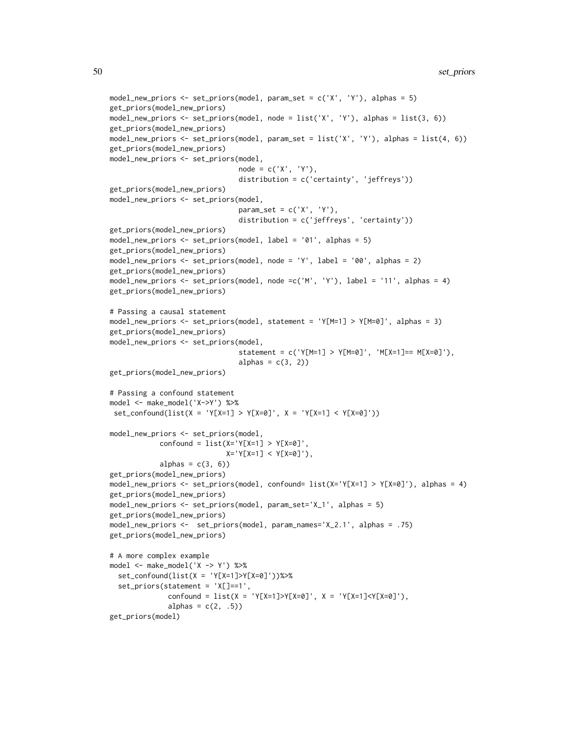```
model_new_priors <- set_priors(model, param_set = c('X', 'Y'), alphas = 5)
get_priors(model_new_priors)
model_new_priors <- set_priors(model, node = list('X', 'Y'), alphas = list(3, 6))
get_priors(model_new_priors)
model_new_priors <- set_priors(model, param_set = list('X', 'Y'), alphas = list(4, 6))
get_priors(model_new_priors)
model_new_priors <- set_priors(model,
                               node = c('X', 'Y'),distribution = c('certainty', 'jeffreys'))
get_priors(model_new_priors)
model_new_priors <- set_priors(model,
                               param_set = c('X', 'Y'),distribution = c('jeffreys', 'certainty'))
get_priors(model_new_priors)
model_new_priors <- set_priors(model, label = '01', alphas = 5)
get_priors(model_new_priors)
model_new_priors <- set_priors(model, node = 'Y', label = '00', alphas = 2)
get_priors(model_new_priors)
model_new_priors <- set_priors(model, node =c('M', 'Y'), label = '11', alphas = 4)
get_priors(model_new_priors)
# Passing a causal statement
model_new_priors <- set_priors(model, statement = 'Y[M=1] > Y[M=0]', alphas = 3)
get_priors(model_new_priors)
model_new_priors <- set_priors(model,
                               statement = c('Y[M=1] > Y[M=0]', 'M[X=1] == M[X=0]'),alphas = c(3, 2))
get_priors(model_new_priors)
# Passing a confound statement
model <- make_model('X->Y') %>%
set_{contound(list(X = 'Y[X=1] > Y[X=0]', X = 'Y[X=1] < Y[X=0]'))model_new_priors <- set_priors(model,
            confound = list(X='Y[X=1] > Y[X=0]',
                            X='Y[X=1] < Y[X=0]'),
            alphas = c(3, 6))
get_priors(model_new_priors)
model_new_priors <- set_priors(model, confound= list(X='Y[X=1] > Y[X=0]'), alphas = 4)
get_priors(model_new_priors)
model_new_priors <- set_priors(model, param_set='X_1', alphas = 5)
get_priors(model_new_priors)
model_new_priors <- set_priors(model, param_names='X_2.1', alphas = .75)
get_priors(model_new_priors)
# A more complex example
model <- make_model('X -> Y') %>%
  set\_confound(list(X = 'Y[X=1] > Y[X=0]'))%>%
  set_priors(statement = 'X[]==1',
              confound = list(X = 'Y[X=1] > Y[X=0]', X = 'Y[X=1] < Y[X=0]'),alphas = c(2, .5))
get_priors(model)
```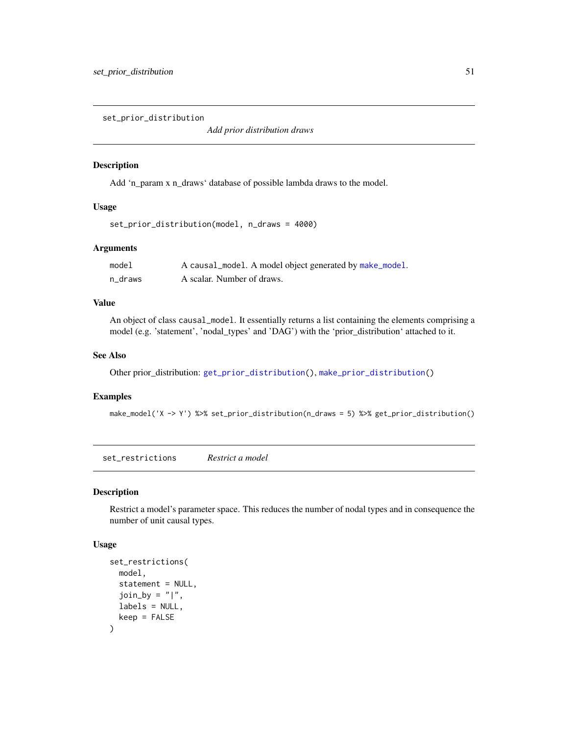<span id="page-50-1"></span><span id="page-50-0"></span>set\_prior\_distribution

*Add prior distribution draws*

# Description

Add 'n\_param x n\_draws' database of possible lambda draws to the model.

#### Usage

```
set_prior_distribution(model, n_draws = 4000)
```
# Arguments

| model   | A causal_model. A model object generated by make_model. |
|---------|---------------------------------------------------------|
| n draws | A scalar. Number of draws.                              |

# Value

An object of class causal\_model. It essentially returns a list containing the elements comprising a model (e.g. 'statement', 'nodal\_types' and 'DAG') with the 'prior\_distribution' attached to it.

#### See Also

Other prior\_distribution: [get\\_prior\\_distribution\(](#page-16-1)), [make\\_prior\\_distribution\(](#page-32-1))

#### Examples

make\_model('X -> Y') %>% set\_prior\_distribution(n\_draws = 5) %>% get\_prior\_distribution()

set\_restrictions *Restrict a model*

#### Description

Restrict a model's parameter space. This reduces the number of nodal types and in consequence the number of unit causal types.

#### Usage

```
set_restrictions(
 model,
 statement = NULL,
  join_by = "|",labels = NULL,
  keep = FALSE)
```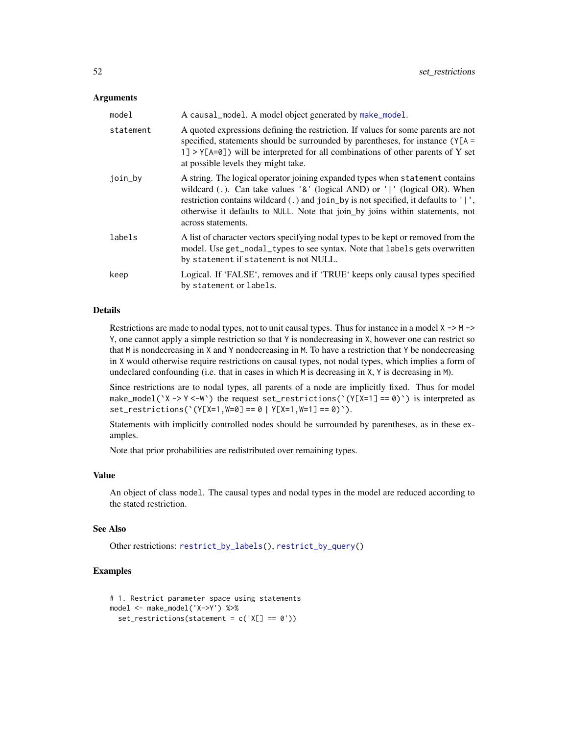#### <span id="page-51-0"></span>**Arguments**

| model     | A causal_model. A model object generated by make_model.                                                                                                                                                                                                                                                                                                  |
|-----------|----------------------------------------------------------------------------------------------------------------------------------------------------------------------------------------------------------------------------------------------------------------------------------------------------------------------------------------------------------|
| statement | A quoted expressions defining the restriction. If values for some parents are not<br>specified, statements should be surrounded by parentheses, for instance $(Y[A =$<br>1] > $Y[A=0]$ ) will be interpreted for all combinations of other parents of Y set<br>at possible levels they might take.                                                       |
| join_by   | A string. The logical operator joining expanded types when statement contains<br>wildcard (.). Can take values '&' (logical AND) or ' ' (logical OR). When<br>restriction contains wildcard (.) and join_by is not specified, it defaults to ' ',<br>otherwise it defaults to NULL. Note that join_by joins within statements, not<br>across statements. |
| labels    | A list of character vectors specifying nodal types to be kept or removed from the<br>model. Use get_nodal_types to see syntax. Note that labels gets overwritten<br>by statement if statement is not NULL.                                                                                                                                               |
| keep      | Logical. If 'FALSE', removes and if 'TRUE' keeps only causal types specified<br>by statement or labels.                                                                                                                                                                                                                                                  |

#### Details

Restrictions are made to nodal types, not to unit causal types. Thus for instance in a model  $X \rightarrow M \rightarrow$ Y, one cannot apply a simple restriction so that Y is nondecreasing in X, however one can restrict so that M is nondecreasing in X and Y nondecreasing in M. To have a restriction that Y be nondecreasing in X would otherwise require restrictions on causal types, not nodal types, which implies a form of undeclared confounding (i.e. that in cases in which M is decreasing in X, Y is decreasing in M).

Since restrictions are to nodal types, all parents of a node are implicitly fixed. Thus for model make\_model( $Y \rightarrow Y \leftarrow W$ ) the request set\_restrictions( $Y(Y[X=1] == 0)$ ) is interpreted as set\_restrictions(`(Y[X=1,W=0] == 0 | Y[X=1,W=1] == 0)`).

Statements with implicitly controlled nodes should be surrounded by parentheses, as in these examples.

Note that prior probabilities are redistributed over remaining types.

## Value

An object of class model. The causal types and nodal types in the model are reduced according to the stated restriction.

#### See Also

Other restrictions: [restrict\\_by\\_labels\(](#page-0-0)), [restrict\\_by\\_query\(](#page-0-0))

```
# 1. Restrict parameter space using statements
model <- make_model('X->Y') %>%
  set_restrictions(statement = c('X[] == 0'))
```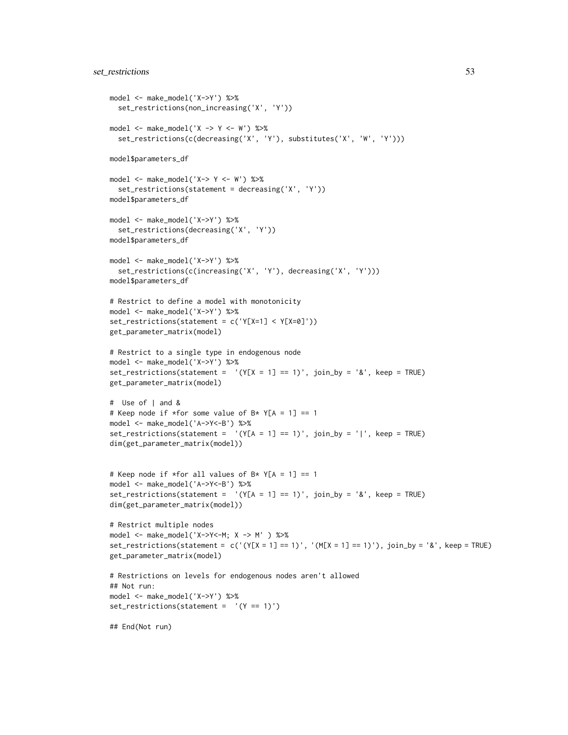```
model <- make_model('X->Y') %>%
  set_restrictions(non_increasing('X', 'Y'))
model \leq - make_model('X \Rightarrow Y \leq -W') %>%
  set_restrictions(c(decreasing('X', 'Y'), substitutes('X', 'W', 'Y')))
model$parameters_df
model \leq make_model('X-> Y \leq W') %>%
  set_restrictions(statement = decreasing('X', 'Y'))
model$parameters_df
model <- make_model('X->Y') %>%
  set_restrictions(decreasing('X', 'Y'))
model$parameters_df
model <- make_model('X->Y') %>%
  set_restrictions(c(increasing('X', 'Y'), decreasing('X', 'Y')))
model$parameters_df
# Restrict to define a model with monotonicity
model <- make_model('X->Y') %>%
set_restrictions(statement = c('Y[X=1] < Y[X=0]'))
get_parameter_matrix(model)
# Restrict to a single type in endogenous node
model <- make_model('X->Y') %>%
set_restrictions(statement = '(Y[X = 1] == 1)', join_by = '&', keep = TRUE)
get_parameter_matrix(model)
# Use of | and &
# Keep node if *for some value of B* Y[A = 1] == 1
model <- make_model('A->Y<-B') %>%
set_restrictions(statement = '(Y[A = 1] == 1)', join_by = '|', keep = TRUE)
dim(get_parameter_matrix(model))
# Keep node if *for all values of B* Y[A = 1] == 1
model <- make_model('A->Y<-B') %>%
set_restrictions(statement = '(Y[A = 1] == 1)', join_by = '&', keep = TRUE)
dim(get_parameter_matrix(model))
# Restrict multiple nodes
model <- make_model('X->Y<-M; X -> M' ) %>%
set_restrictions(statement = c('(Y[X = 1] == 1)', '(M[X = 1] == 1)'), join_by = '&', keep = TRUE)
get_parameter_matrix(model)
# Restrictions on levels for endogenous nodes aren't allowed
## Not run:
model <- make_model('X->Y') %>%
set_restrictions(statement = '(Y == 1)')
## End(Not run)
```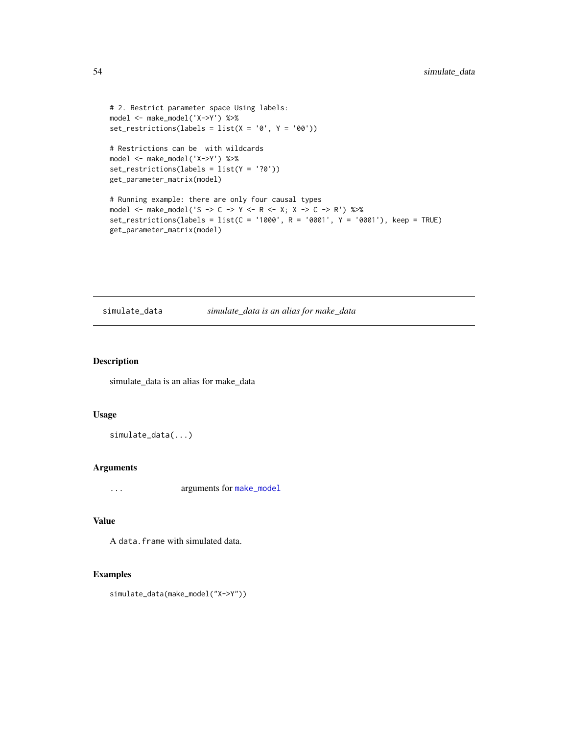```
# 2. Restrict parameter space Using labels:
model <- make_model('X->Y') %>%
set_restrictions(labels = list(X = '0', Y = '00'))
```

```
# Restrictions can be with wildcards
model <- make_model('X->Y') %>%
set_restrictions(labels = list(Y = '?0'))
get_parameter_matrix(model)
```

```
# Running example: there are only four causal types
model <- make_model('S -> C -> Y <- R <- X; X -> C -> R') %>%
set_restrictions(labels = list(C = '1000', R = '0001', Y = '0001'), keep = TRUE)
get_parameter_matrix(model)
```
<span id="page-53-1"></span>simulate\_data *simulate\_data is an alias for make\_data*

# Description

simulate\_data is an alias for make\_data

#### Usage

simulate\_data(...)

# Arguments

... arguments for [make\\_model](#page-26-1)

# Value

A data.frame with simulated data.

```
simulate_data(make_model("X->Y"))
```
<span id="page-53-0"></span>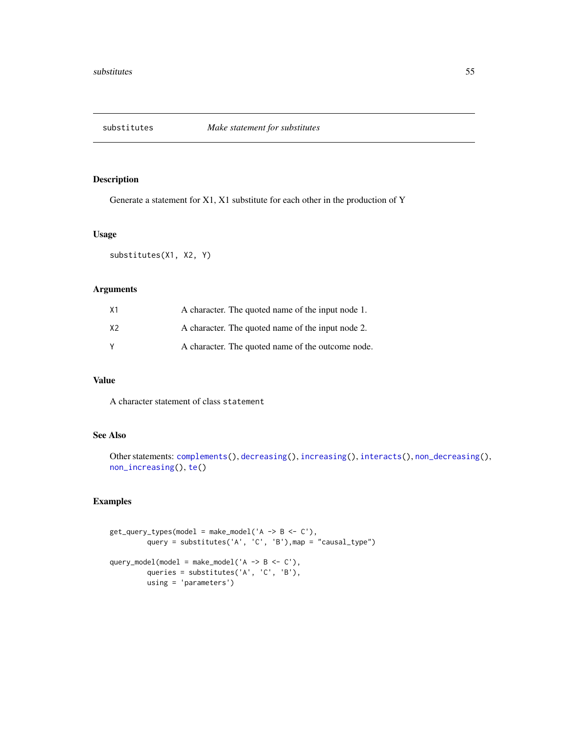<span id="page-54-1"></span><span id="page-54-0"></span>

Generate a statement for X1, X1 substitute for each other in the production of Y

#### Usage

substitutes(X1, X2, Y)

# Arguments

| X1             | A character. The quoted name of the input node 1. |
|----------------|---------------------------------------------------|
| X <sub>2</sub> | A character. The quoted name of the input node 2. |
| <b>V</b>       | A character. The quoted name of the outcome node. |

#### Value

A character statement of class statement

# See Also

```
Other statements: complements(), decreasing(), increasing(), interacts(), non_decreasing(),
non_increasing(), te()
```

```
get_query_types(model = make_model('A -> B <- C'),
        query = substitutes('A', 'C', 'B'), map = "causal_type")
query_model(model = make_model('A -> B <- C'),
        queries = substitutes('A', 'C', 'B'),
        using = 'parameters')
```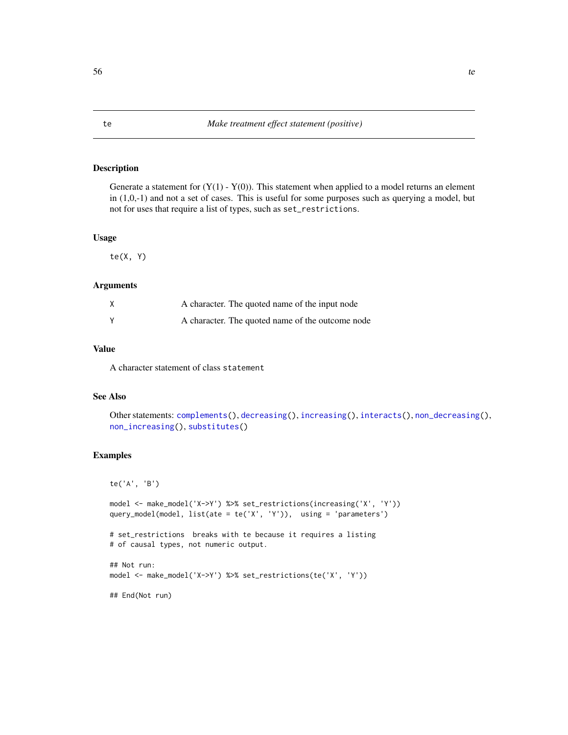<span id="page-55-1"></span><span id="page-55-0"></span>Generate a statement for  $(Y(1) - Y(0))$ . This statement when applied to a model returns an element in (1,0,-1) and not a set of cases. This is useful for some purposes such as querying a model, but not for uses that require a list of types, such as set\_restrictions.

#### Usage

 $te(X, Y)$ 

# Arguments

| A character. The quoted name of the input node   |  |
|--------------------------------------------------|--|
| A character. The quoted name of the outcome node |  |

#### Value

A character statement of class statement

#### See Also

```
Other statements: complements(), decreasing(), increasing(), interacts(), non_decreasing(),
non_increasing(), substitutes()
```

```
te('A', 'B')
model <- make_model('X->Y') %>% set_restrictions(increasing('X', 'Y'))
query_model(model, list(ate = te('X', 'Y')), using = 'parameters')
# set_restrictions breaks with te because it requires a listing
# of causal types, not numeric output.
## Not run:
model <- make_model('X->Y') %>% set_restrictions(te('X', 'Y'))
## End(Not run)
```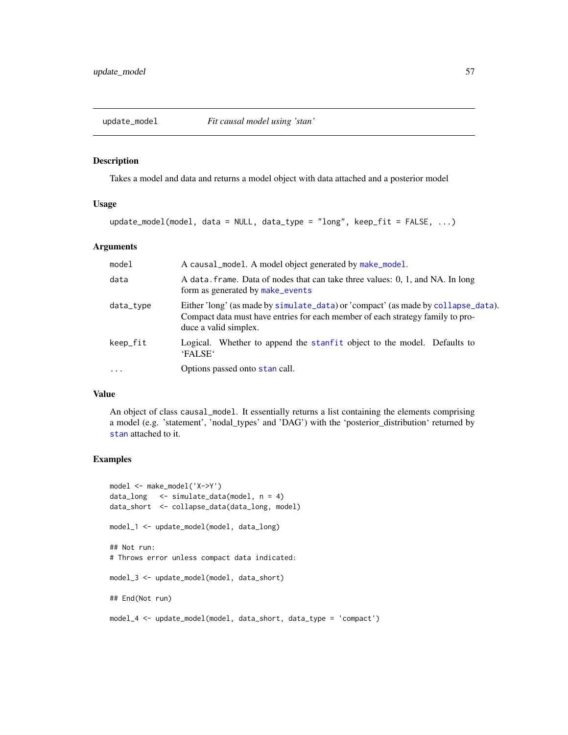<span id="page-56-0"></span>

Takes a model and data and returns a model object with data attached and a posterior model

# Usage

update\_model(model, data = NULL, data\_type = "long", keep\_fit = FALSE, ...)

#### Arguments

| model     | A causal_model. A model object generated by make_model.                                                                                                                                      |
|-----------|----------------------------------------------------------------------------------------------------------------------------------------------------------------------------------------------|
| data      | A data, frame. Data of nodes that can take three values: 0, 1, and NA. In long<br>form as generated by make_events                                                                           |
| data_type | Either 'long' (as made by simulate_data) or 'compact' (as made by collapse_data).<br>Compact data must have entries for each member of each strategy family to pro-<br>duce a valid simplex. |
| keep_fit  | Logical. Whether to append the stanfit object to the model. Defaults to<br>'FALSE'                                                                                                           |
| $\cdot$   | Options passed onto stan call.                                                                                                                                                               |

#### Value

An object of class causal\_model. It essentially returns a list containing the elements comprising a model (e.g. 'statement', 'nodal\_types' and 'DAG') with the 'posterior\_distribution' returned by [stan](#page-0-0) attached to it.

```
model <- make_model('X->Y')
data_long <- simulate_data(model, n = 4)
data_short <- collapse_data(data_long, model)
model_1 <- update_model(model, data_long)
## Not run:
# Throws error unless compact data indicated:
model_3 <- update_model(model, data_short)
## End(Not run)
model_4 <- update_model(model, data_short, data_type = 'compact')
```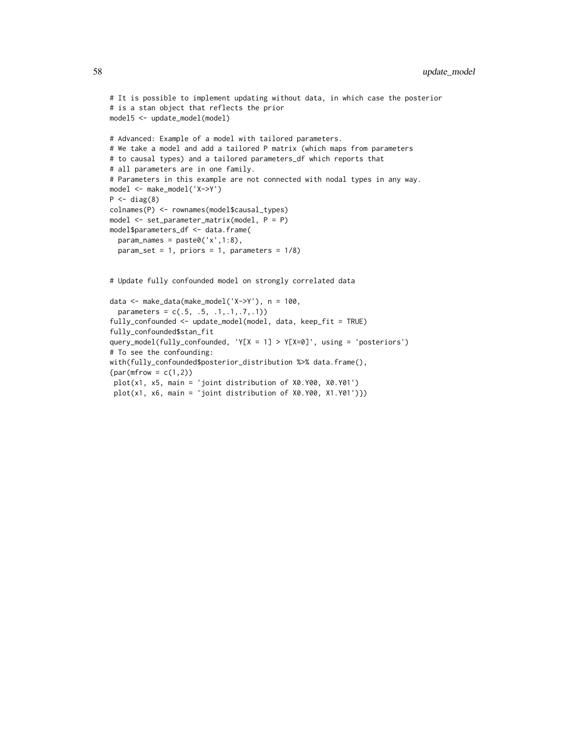```
# It is possible to implement updating without data, in which case the posterior
# is a stan object that reflects the prior
model5 <- update_model(model)
# Advanced: Example of a model with tailored parameters.
# We take a model and add a tailored P matrix (which maps from parameters
# to causal types) and a tailored parameters_df which reports that
# all parameters are in one family.
# Parameters in this example are not connected with nodal types in any way.
model <- make_model('X->Y')
P \leftarrow diag(8)colnames(P) <- rownames(model$causal_types)
model <- set_parameter_matrix(model, P = P)
model$parameters_df <- data.frame(
  param_names = paste0('x',1:8),
  param_set = 1, priors = 1, parameters = 1/8)
# Update fully confounded model on strongly correlated data
```

```
data <- make_data(make_model('X->Y'), n = 100,
 parameters = c(.5, .5, .1, .1, .7, .1))fully_confounded <- update_model(model, data, keep_fit = TRUE)
fully_confounded$stan_fit
query_model(fully_confounded, 'Y[X = 1] > Y[X=0]', using = 'posteriors')
# To see the confounding:
with(fully_confounded$posterior_distribution %>% data.frame(),
{par(mfrow = c(1,2))}plot(x1, x5, main = 'joint distribution of X0.Y00, X0.Y01')
plot(x1, x6, main = 'joint distribution of X0.Y00, X1.Y01')})
```